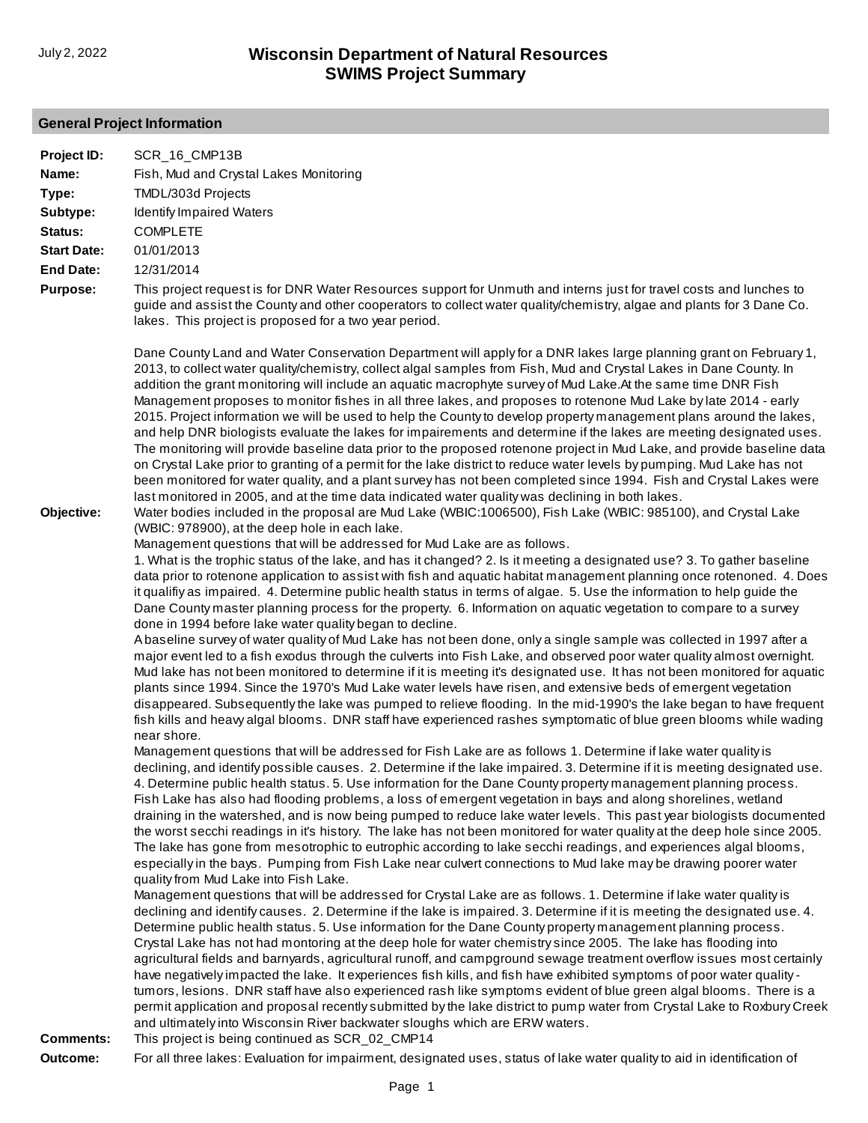# **General Project Information**

| Project ID:        | SCR 16 CMP13B                                                                                                                                                                                                                                                                                                                                                                                                                                                                                                                                                                                                                                                                                                                                                                                                                                                                                                                                                                                                                                                                                                                                                                                                                                                                                                                  |
|--------------------|--------------------------------------------------------------------------------------------------------------------------------------------------------------------------------------------------------------------------------------------------------------------------------------------------------------------------------------------------------------------------------------------------------------------------------------------------------------------------------------------------------------------------------------------------------------------------------------------------------------------------------------------------------------------------------------------------------------------------------------------------------------------------------------------------------------------------------------------------------------------------------------------------------------------------------------------------------------------------------------------------------------------------------------------------------------------------------------------------------------------------------------------------------------------------------------------------------------------------------------------------------------------------------------------------------------------------------|
| Name:              | Fish, Mud and Crystal Lakes Monitoring                                                                                                                                                                                                                                                                                                                                                                                                                                                                                                                                                                                                                                                                                                                                                                                                                                                                                                                                                                                                                                                                                                                                                                                                                                                                                         |
| Type:              | TMDL/303d Projects                                                                                                                                                                                                                                                                                                                                                                                                                                                                                                                                                                                                                                                                                                                                                                                                                                                                                                                                                                                                                                                                                                                                                                                                                                                                                                             |
| Subtype:           | Identify Impaired Waters                                                                                                                                                                                                                                                                                                                                                                                                                                                                                                                                                                                                                                                                                                                                                                                                                                                                                                                                                                                                                                                                                                                                                                                                                                                                                                       |
| Status:            | <b>COMPLETE</b>                                                                                                                                                                                                                                                                                                                                                                                                                                                                                                                                                                                                                                                                                                                                                                                                                                                                                                                                                                                                                                                                                                                                                                                                                                                                                                                |
| <b>Start Date:</b> | 01/01/2013                                                                                                                                                                                                                                                                                                                                                                                                                                                                                                                                                                                                                                                                                                                                                                                                                                                                                                                                                                                                                                                                                                                                                                                                                                                                                                                     |
| <b>End Date:</b>   | 12/31/2014                                                                                                                                                                                                                                                                                                                                                                                                                                                                                                                                                                                                                                                                                                                                                                                                                                                                                                                                                                                                                                                                                                                                                                                                                                                                                                                     |
| <b>Purpose:</b>    | This project request is for DNR Water Resources support for Unmuth and interns just for travel costs and lunches to<br>guide and assist the County and other cooperators to collect water quality/chemistry, algae and plants for 3 Dane Co.<br>lakes. This project is proposed for a two year period.                                                                                                                                                                                                                                                                                                                                                                                                                                                                                                                                                                                                                                                                                                                                                                                                                                                                                                                                                                                                                         |
| Objective:         | Dane County Land and Water Conservation Department will apply for a DNR lakes large planning grant on February 1,<br>2013, to collect water quality/chemistry, collect algal samples from Fish, Mud and Crystal Lakes in Dane County. In<br>addition the grant monitoring will include an aquatic macrophyte survey of Mud Lake.At the same time DNR Fish<br>Management proposes to monitor fishes in all three lakes, and proposes to rotenone Mud Lake by late 2014 - early<br>2015. Project information we will be used to help the County to develop property management plans around the lakes,<br>and help DNR biologists evaluate the lakes for impairements and determine if the lakes are meeting designated uses.<br>The monitoring will provide baseline data prior to the proposed rotenone project in Mud Lake, and provide baseline data<br>on Crystal Lake prior to granting of a permit for the lake district to reduce water levels by pumping. Mud Lake has not<br>been monitored for water quality, and a plant survey has not been completed since 1994. Fish and Crystal Lakes were<br>last monitored in 2005, and at the time data indicated water quality was declining in both lakes.<br>Water bodies included in the proposal are Mud Lake (WBIC:1006500), Fish Lake (WBIC: 985100), and Crystal Lake |
|                    | (WBIC: 978900), at the deep hole in each lake.<br>Management questions that will be addressed for Mud Lake are as follows.<br>1. What is the trophic status of the lake, and has it changed? 2. Is it meeting a designated use? 3. To gather baseline<br>data prior to rotenone application to assist with fish and aquatic habitat management planning once rotenoned. 4. Does<br>it qualifiy as impaired. 4. Determine public health status in terms of algae. 5. Use the information to help guide the<br>Dane County master planning process for the property. 6. Information on aquatic vegetation to compare to a survey                                                                                                                                                                                                                                                                                                                                                                                                                                                                                                                                                                                                                                                                                                 |
|                    | done in 1994 before lake water quality began to decline.<br>A baseline survey of water quality of Mud Lake has not been done, only a single sample was collected in 1997 after a                                                                                                                                                                                                                                                                                                                                                                                                                                                                                                                                                                                                                                                                                                                                                                                                                                                                                                                                                                                                                                                                                                                                               |
|                    | major event led to a fish exodus through the culverts into Fish Lake, and observed poor water quality almost overnight.<br>Mud lake has not been monitored to determine if it is meeting it's designated use. It has not been monitored for aquatic<br>plants since 1994. Since the 1970's Mud Lake water levels have risen, and extensive beds of emergent vegetation<br>disappeared. Subsequently the lake was pumped to relieve flooding. In the mid-1990's the lake began to have frequent<br>fish kills and heavy algal blooms. DNR staff have experienced rashes symptomatic of blue green blooms while wading<br>near shore.                                                                                                                                                                                                                                                                                                                                                                                                                                                                                                                                                                                                                                                                                            |
|                    | Management questions that will be addressed for Fish Lake are as follows 1. Determine if lake water quality is<br>declining, and identify possible causes. 2. Determine if the lake impaired. 3. Determine if it is meeting designated use.<br>4. Determine public health status. 5. Use information for the Dane County property management planning process.<br>Fish Lake has also had flooding problems, a loss of emergent vegetation in bays and along shorelines, wetland<br>draining in the watershed, and is now being pumped to reduce lake water levels. This past year biologists documented<br>the worst secchi readings in it's history. The lake has not been monitored for water quality at the deep hole since 2005.<br>The lake has gone from mesotrophic to eutrophic according to lake secchi readings, and experiences algal blooms,<br>especially in the bays. Pumping from Fish Lake near culvert connections to Mud lake may be drawing poorer water                                                                                                                                                                                                                                                                                                                                                    |
|                    | quality from Mud Lake into Fish Lake.<br>Management questions that will be addressed for Crystal Lake are as follows. 1. Determine if lake water quality is<br>declining and identify causes. 2. Determine if the lake is impaired. 3. Determine if it is meeting the designated use. 4.<br>Determine public health status. 5. Use information for the Dane County property management planning process.<br>Crystal Lake has not had montoring at the deep hole for water chemistry since 2005. The lake has flooding into<br>agricultural fields and barnyards, agricultural runoff, and campground sewage treatment overflow issues most certainly<br>have negatively impacted the lake. It experiences fish kills, and fish have exhibited symptoms of poor water quality -<br>tumors, lesions. DNR staff have also experienced rash like symptoms evident of blue green algal blooms. There is a<br>permit application and proposal recently submitted by the lake district to pump water from Crystal Lake to Roxbury Creek<br>and ultimately into Wisconsin River backwater sloughs which are ERW waters.                                                                                                                                                                                                                |
| <b>Comments:</b>   | This project is being continued as SCR_02_CMP14                                                                                                                                                                                                                                                                                                                                                                                                                                                                                                                                                                                                                                                                                                                                                                                                                                                                                                                                                                                                                                                                                                                                                                                                                                                                                |
| Outcome:           | For all three lakes: Evaluation for impairment, designated uses, status of lake water quality to aid in identification of                                                                                                                                                                                                                                                                                                                                                                                                                                                                                                                                                                                                                                                                                                                                                                                                                                                                                                                                                                                                                                                                                                                                                                                                      |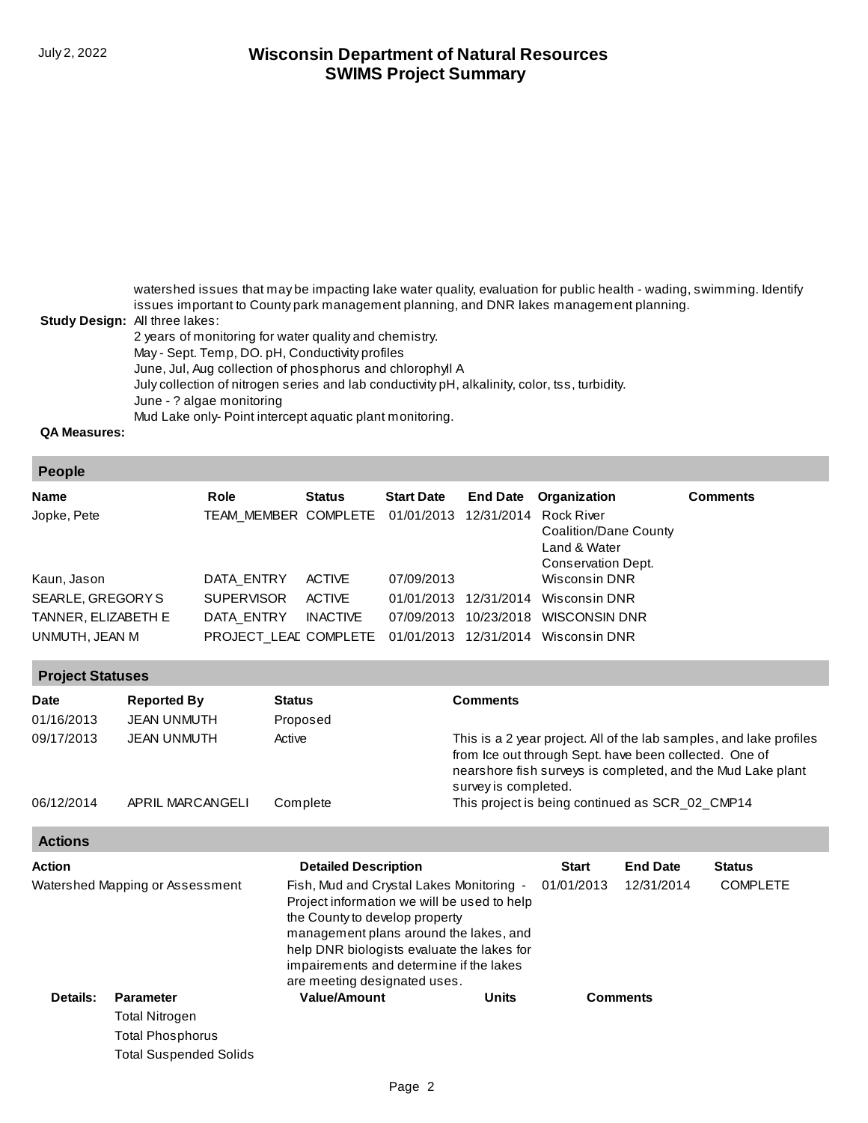watershed issues that may be impacting lake water quality, evaluation for public health - wading, swimming. Identify issues important to County park management planning, and DNR lakes management planning.

#### **Study Design:** All three lakes:

Total Suspended Solids

2 years of monitoring for water quality and chemistry. May - Sept. Temp, DO. pH, Conductivity profiles June, Jul, Aug collection of phosphorus and chlorophyll A July collection of nitrogen series and lab conductivity pH, alkalinity, color, tss, turbidity. June - ? algae monitoring Mud Lake only- Point intercept aquatic plant monitoring.

**QA Measures:**

#### **People**

| <b>Name</b>         | Role                                                  | <b>Status</b>   | <b>Start Date</b> |            | <b>End Date Organization</b>                                | <b>Comments</b> |
|---------------------|-------------------------------------------------------|-----------------|-------------------|------------|-------------------------------------------------------------|-----------------|
| Jopke, Pete         | TEAM MEMBER COMPLETE 01/01/2013 12/31/2014 Rock River |                 |                   |            | Coalition/Dane County<br>Land & Water<br>Conservation Dept. |                 |
| Kaun, Jason         | DATA ENTRY                                            | <b>ACTIVE</b>   | 07/09/2013        |            | Wisconsin DNR                                               |                 |
| SEARLE, GREGORYS    | <b>SUPERVISOR</b>                                     | <b>ACTIVE</b>   | 01/01/2013        | 12/31/2014 | Wisconsin DNR                                               |                 |
| TANNER, ELIZABETH E | DATA ENTRY                                            | <b>INACTIVE</b> | 07/09/2013        | 10/23/2018 | WISCONSIN DNR                                               |                 |
| UNMUTH, JEAN M      |                                                       |                 |                   |            | PROJECT LEAL COMPLETE 01/01/2013 12/31/2014 Wisconsin DNR   |                 |

| <b>Project Statuses</b> |                    |          |                                                                                                                                                                                                                      |  |  |  |
|-------------------------|--------------------|----------|----------------------------------------------------------------------------------------------------------------------------------------------------------------------------------------------------------------------|--|--|--|
| <b>Date</b>             | <b>Reported By</b> | Status   | <b>Comments</b>                                                                                                                                                                                                      |  |  |  |
| 01/16/2013              | JEAN UNMUTH        | Proposed |                                                                                                                                                                                                                      |  |  |  |
| 09/17/2013              | JEAN UNMUTH        | Active   | This is a 2 year project. All of the lab samples, and lake profiles<br>from Ice out through Sept. have been collected. One of<br>nearshore fish surveys is completed, and the Mud Lake plant<br>survey is completed. |  |  |  |
| 06/12/2014              | APRIL MARCANGELI   | Complete | This project is being continued as SCR_02_CMP14                                                                                                                                                                      |  |  |  |

| <b>Actions</b>               |                                 |                                                                                                                                                                                                                                                                                              |              |              |                 |                 |  |
|------------------------------|---------------------------------|----------------------------------------------------------------------------------------------------------------------------------------------------------------------------------------------------------------------------------------------------------------------------------------------|--------------|--------------|-----------------|-----------------|--|
| Action                       |                                 | <b>Detailed Description</b>                                                                                                                                                                                                                                                                  |              | <b>Start</b> | <b>End Date</b> | <b>Status</b>   |  |
|                              | Watershed Mapping or Assessment | Fish, Mud and Crystal Lakes Monitoring -<br>Project information we will be used to help<br>the County to develop property<br>management plans around the lakes, and<br>help DNR biologists evaluate the lakes for<br>impairements and determine if the lakes<br>are meeting designated uses. |              | 01/01/2013   | 12/31/2014      | <b>COMPLETE</b> |  |
| Details:<br><b>Parameter</b> |                                 | <b>Value/Amount</b>                                                                                                                                                                                                                                                                          | <b>Units</b> |              | <b>Comments</b> |                 |  |
|                              | <b>Total Nitrogen</b>           |                                                                                                                                                                                                                                                                                              |              |              |                 |                 |  |
|                              | <b>Total Phosphorus</b>         |                                                                                                                                                                                                                                                                                              |              |              |                 |                 |  |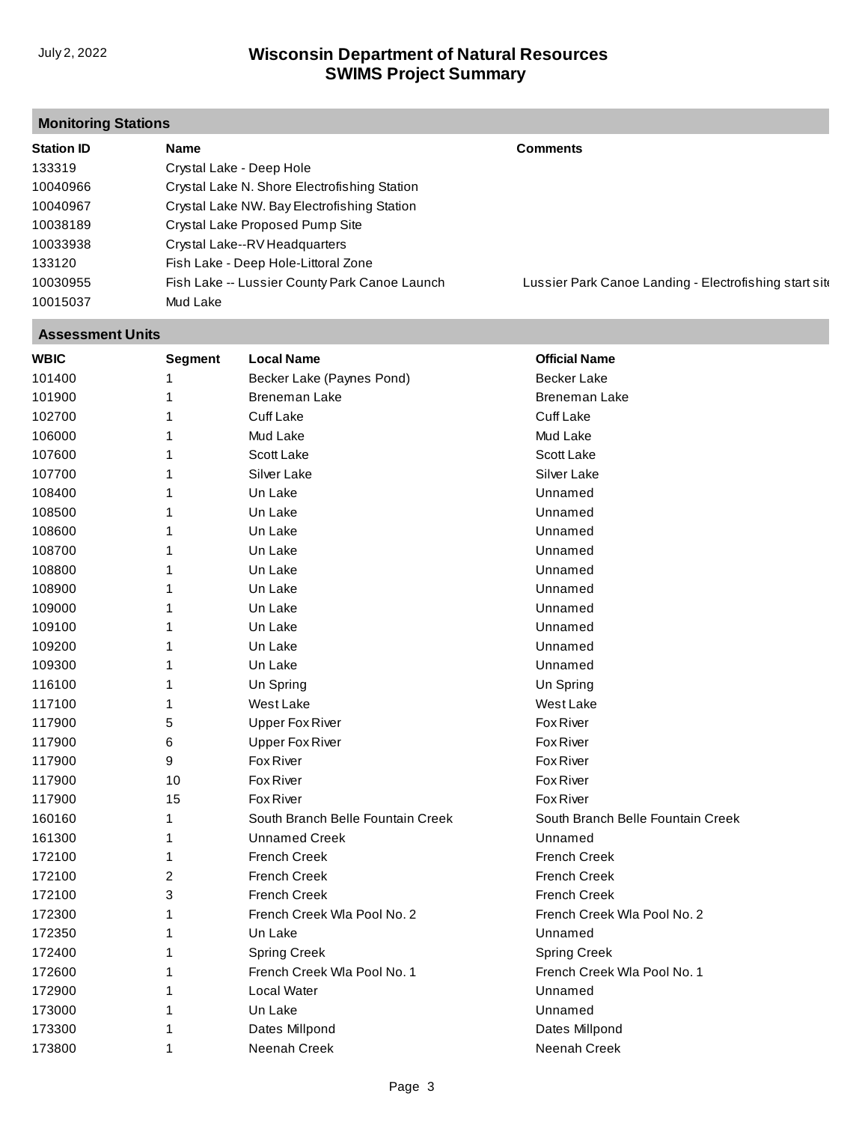# **Monitoring Stations**

| <b>Station ID</b> | Name                                          | <b>Comments</b>                                        |
|-------------------|-----------------------------------------------|--------------------------------------------------------|
| 133319            | Crystal Lake - Deep Hole                      |                                                        |
| 10040966          | Crystal Lake N. Shore Electrofishing Station  |                                                        |
| 10040967          | Crystal Lake NW. Bay Electrofishing Station   |                                                        |
| 10038189          | Crystal Lake Proposed Pump Site               |                                                        |
| 10033938          | Crystal Lake--RV Headquarters                 |                                                        |
| 133120            | Fish Lake - Deep Hole-Littoral Zone           |                                                        |
| 10030955          | Fish Lake -- Lussier County Park Canoe Launch | Lussier Park Canoe Landing - Electrofishing start site |
| 10015037          | Mud Lake                                      |                                                        |

#### **Assessment Units**

| <b>WBIC</b> | <b>Segment</b> | <b>Local Name</b>                 | <b>Official Name</b>              |
|-------------|----------------|-----------------------------------|-----------------------------------|
| 101400      | 1              | Becker Lake (Paynes Pond)         | <b>Becker Lake</b>                |
| 101900      | 1              | <b>Breneman Lake</b>              | Breneman Lake                     |
| 102700      | 1              | <b>Cuff Lake</b>                  | <b>Cuff Lake</b>                  |
| 106000      | 1              | Mud Lake                          | Mud Lake                          |
| 107600      | 1              | Scott Lake                        | Scott Lake                        |
| 107700      | 1              | Silver Lake                       | Silver Lake                       |
| 108400      | 1              | Un Lake                           | Unnamed                           |
| 108500      | 1              | Un Lake                           | Unnamed                           |
| 108600      | 1              | Un Lake                           | Unnamed                           |
| 108700      | 1              | Un Lake                           | Unnamed                           |
| 108800      | 1              | Un Lake                           | Unnamed                           |
| 108900      | 1              | Un Lake                           | Unnamed                           |
| 109000      | 1              | Un Lake                           | Unnamed                           |
| 109100      | 1              | Un Lake                           | Unnamed                           |
| 109200      | 1              | Un Lake                           | Unnamed                           |
| 109300      | 1              | Un Lake                           | Unnamed                           |
| 116100      | 1              | Un Spring                         | Un Spring                         |
| 117100      | 1              | West Lake                         | West Lake                         |
| 117900      | 5              | <b>Upper Fox River</b>            | Fox River                         |
| 117900      | 6              | <b>Upper Fox River</b>            | <b>Fox River</b>                  |
| 117900      | 9              | <b>Fox River</b>                  | <b>Fox River</b>                  |
| 117900      | 10             | Fox River                         | <b>Fox River</b>                  |
| 117900      | 15             | <b>Fox River</b>                  | <b>Fox River</b>                  |
| 160160      | 1              | South Branch Belle Fountain Creek | South Branch Belle Fountain Creek |
| 161300      | 1              | <b>Unnamed Creek</b>              | Unnamed                           |
| 172100      | 1              | <b>French Creek</b>               | <b>French Creek</b>               |
| 172100      | $\overline{c}$ | <b>French Creek</b>               | <b>French Creek</b>               |
| 172100      | 3              | <b>French Creek</b>               | <b>French Creek</b>               |
| 172300      | 1              | French Creek Wla Pool No. 2       | French Creek Wla Pool No. 2       |
| 172350      | 1              | Un Lake                           | Unnamed                           |
| 172400      | 1              | <b>Spring Creek</b>               | <b>Spring Creek</b>               |
| 172600      | 1              | French Creek Wla Pool No. 1       | French Creek Wla Pool No. 1       |
| 172900      | 1              | Local Water                       | Unnamed                           |
| 173000      | 1              | Un Lake                           | Unnamed                           |
| 173300      | 1              | Dates Millpond                    | Dates Millpond                    |
| 173800      | 1              | Neenah Creek                      | Neenah Creek                      |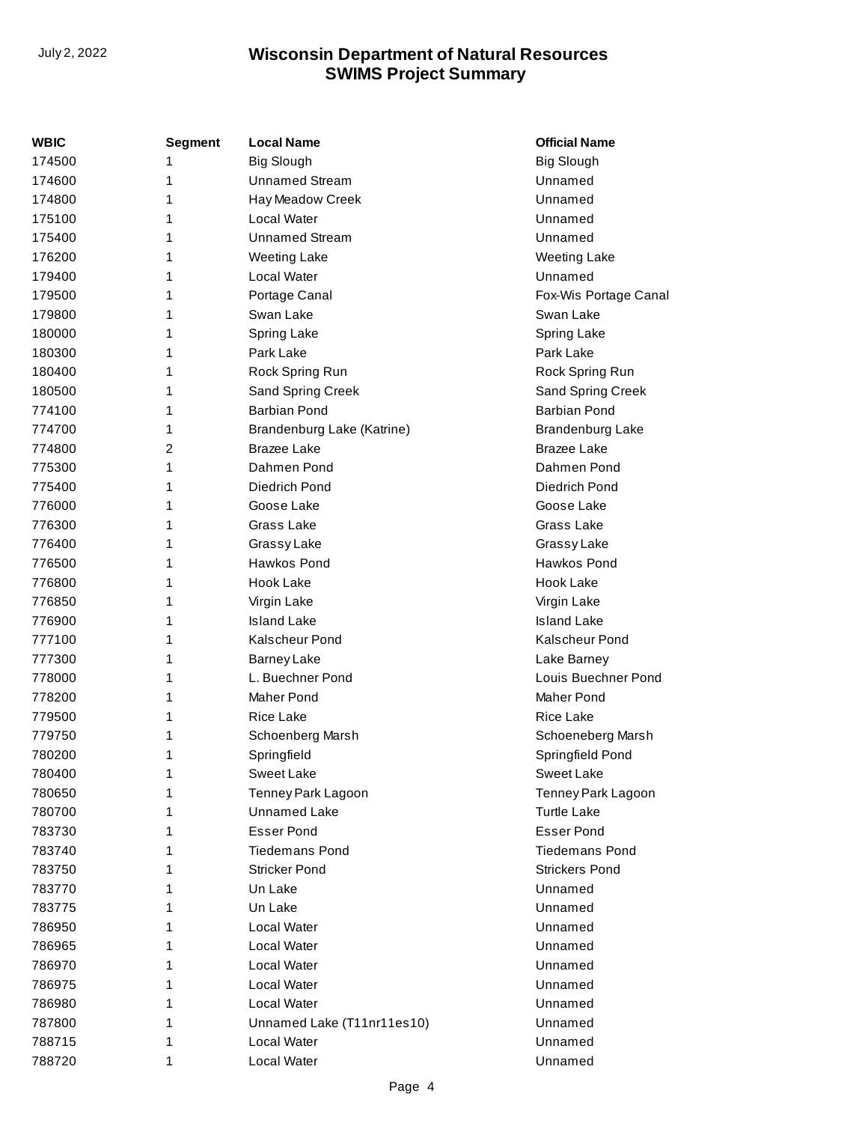| WBIC   | Segment | <b>Local Name</b>          | <b>Official Name</b>    |
|--------|---------|----------------------------|-------------------------|
| 174500 | 1       | <b>Big Slough</b>          | <b>Big Slough</b>       |
| 174600 | 1       | <b>Unnamed Stream</b>      | Unnamed                 |
| 174800 | 1       | Hay Meadow Creek           | Unnamed                 |
| 175100 | 1       | Local Water                | Unnamed                 |
| 175400 | 1       | <b>Unnamed Stream</b>      | Unnamed                 |
| 176200 | 1       | <b>Weeting Lake</b>        | <b>Weeting Lake</b>     |
| 179400 | 1       | Local Water                | Unnamed                 |
| 179500 | 1       | Portage Canal              | Fox-Wis Portage Canal   |
| 179800 | 1       | Swan Lake                  | Swan Lake               |
| 180000 | 1       | Spring Lake                | Spring Lake             |
| 180300 | 1       | Park Lake                  | Park Lake               |
| 180400 | 1       | Rock Spring Run            | Rock Spring Run         |
| 180500 | 1       | Sand Spring Creek          | Sand Spring Creek       |
| 774100 | 1       | <b>Barbian Pond</b>        | <b>Barbian Pond</b>     |
| 774700 | 1       | Brandenburg Lake (Katrine) | <b>Brandenburg Lake</b> |
| 774800 | 2       | <b>Brazee Lake</b>         | <b>Brazee Lake</b>      |
| 775300 | 1       | Dahmen Pond                | Dahmen Pond             |
| 775400 | 1       | Diedrich Pond              | Diedrich Pond           |
| 776000 | 1       | Goose Lake                 | Goose Lake              |
| 776300 | 1       | Grass Lake                 | Grass Lake              |
| 776400 | 1       | <b>Grassy Lake</b>         | GrassyLake              |
| 776500 | 1       | Hawkos Pond                | Hawkos Pond             |
| 776800 | 1       | Hook Lake                  | Hook Lake               |
| 776850 | 1       | Virgin Lake                | Virgin Lake             |
| 776900 | 1       | <b>Island Lake</b>         | <b>Island Lake</b>      |
| 777100 | 1       | <b>Kalscheur Pond</b>      | <b>Kalscheur Pond</b>   |
| 777300 | 1       | <b>Barney Lake</b>         | Lake Barney             |
| 778000 | 1       | L. Buechner Pond           | Louis Buechner Pond     |
| 778200 | 1       | Maher Pond                 | <b>Maher Pond</b>       |
| 779500 | 1       | Rice Lake                  | Rice Lake               |
| 779750 | 1       | Schoenberg Marsh           | Schoeneberg Marsh       |
| 780200 | 1       | Springfield                | Springfield Pond        |
| 780400 | 1       | <b>Sweet Lake</b>          | Sweet Lake              |
| 780650 | 1       | Tenney Park Lagoon         | Tenney Park Lagoon      |
| 780700 | 1       | <b>Unnamed Lake</b>        | <b>Turtle Lake</b>      |
| 783730 | 1       | <b>Esser Pond</b>          | <b>Esser Pond</b>       |
| 783740 | 1       | <b>Tiedemans Pond</b>      | <b>Tiedemans Pond</b>   |
| 783750 | 1       | <b>Stricker Pond</b>       | <b>Strickers Pond</b>   |
| 783770 | 1       | Un Lake                    | Unnamed                 |
| 783775 | 1       | Un Lake                    | Unnamed                 |
| 786950 | 1       | Local Water                | Unnamed                 |
| 786965 | 1       | Local Water                | Unnamed                 |
| 786970 | 1       | Local Water                | Unnamed                 |
| 786975 | 1       | Local Water                | Unnamed                 |
| 786980 | 1       | Local Water                | Unnamed                 |
| 787800 | 1       | Unnamed Lake (T11nr11es10) | Unnamed                 |
| 788715 | 1       | Local Water                | Unnamed                 |
| 788720 | 1       | Local Water                | Unnamed                 |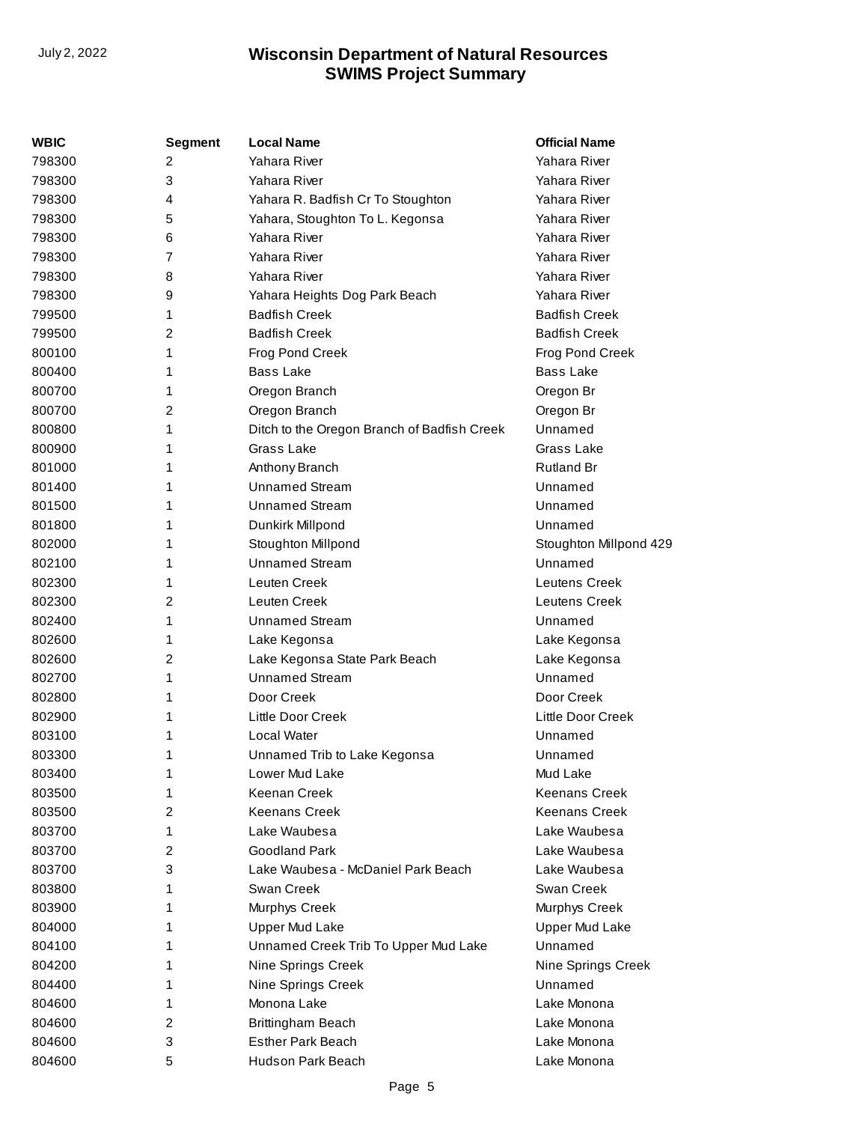| <b>WBIC</b> | <b>Segment</b>          | <b>Local Name</b>                           | <b>Official Name</b>   |
|-------------|-------------------------|---------------------------------------------|------------------------|
| 798300      | 2                       | Yahara River                                | Yahara River           |
| 798300      | 3                       | Yahara River                                | Yahara River           |
| 798300      | 4                       | Yahara R. Badfish Cr To Stoughton           | Yahara River           |
| 798300      | 5                       | Yahara, Stoughton To L. Kegonsa             | Yahara River           |
| 798300      | 6                       | Yahara River                                | Yahara River           |
| 798300      | 7                       | Yahara River                                | Yahara River           |
| 798300      | 8                       | Yahara River                                | Yahara River           |
| 798300      | 9                       | Yahara Heights Dog Park Beach               | Yahara River           |
| 799500      | 1                       | <b>Badfish Creek</b>                        | <b>Badfish Creek</b>   |
| 799500      | 2                       | <b>Badfish Creek</b>                        | <b>Badfish Creek</b>   |
| 800100      | 1                       | Frog Pond Creek                             | Frog Pond Creek        |
| 800400      | 1                       | <b>Bass Lake</b>                            | <b>Bass Lake</b>       |
| 800700      | 1                       | Oregon Branch                               | Oregon Br              |
| 800700      | 2                       | Oregon Branch                               | Oregon Br              |
| 800800      | 1                       | Ditch to the Oregon Branch of Badfish Creek | Unnamed                |
| 800900      | 1                       | Grass Lake                                  | Grass Lake             |
| 801000      | 1                       | Anthony Branch                              | Rutland Br             |
| 801400      | 1                       | <b>Unnamed Stream</b>                       | Unnamed                |
| 801500      | 1                       | <b>Unnamed Stream</b>                       | Unnamed                |
| 801800      | 1                       | Dunkirk Millpond                            | Unnamed                |
| 802000      | 1                       | Stoughton Millpond                          | Stoughton Millpond 429 |
| 802100      | 1                       | <b>Unnamed Stream</b>                       | Unnamed                |
| 802300      | 1                       | Leuten Creek                                | Leutens Creek          |
| 802300      | 2                       | Leuten Creek                                | Leutens Creek          |
| 802400      | 1                       | <b>Unnamed Stream</b>                       | Unnamed                |
| 802600      | 1                       | Lake Kegonsa                                | Lake Kegonsa           |
| 802600      | $\overline{c}$          | Lake Kegonsa State Park Beach               | Lake Kegonsa           |
| 802700      | 1                       | <b>Unnamed Stream</b>                       | Unnamed                |
| 802800      | 1                       | Door Creek                                  | Door Creek             |
| 802900      | 1                       | Little Door Creek                           | Little Door Creek      |
| 803100      | 1                       | Local Water                                 | Unnamed                |
| 803300      | 1                       | Unnamed Trib to Lake Kegonsa                | Unnamed                |
| 803400      | 1                       | Lower Mud Lake                              | Mud Lake               |
| 803500      | 1                       | Keenan Creek                                | <b>Keenans Creek</b>   |
| 803500      | $\overline{\mathbf{c}}$ | <b>Keenans Creek</b>                        | <b>Keenans Creek</b>   |
| 803700      | 1                       | Lake Waubesa                                | Lake Waubesa           |
| 803700      | $\overline{c}$          | <b>Goodland Park</b>                        | Lake Waubesa           |
| 803700      | 3                       | Lake Waubesa - McDaniel Park Beach          | Lake Waubesa           |
| 803800      | 1                       | Swan Creek                                  | Swan Creek             |
| 803900      | 1                       | Murphys Creek                               | Murphys Creek          |
| 804000      | 1                       | <b>Upper Mud Lake</b>                       | <b>Upper Mud Lake</b>  |
| 804100      | 1                       | Unnamed Creek Trib To Upper Mud Lake        | Unnamed                |
| 804200      | 1                       | Nine Springs Creek                          | Nine Springs Creek     |
| 804400      | 1                       | Nine Springs Creek                          | Unnamed                |
| 804600      | 1                       | Monona Lake                                 | Lake Monona            |
| 804600      | 2                       | Brittingham Beach                           | Lake Monona            |
| 804600      | 3                       | <b>Esther Park Beach</b>                    | Lake Monona            |
| 804600      | 5                       | Hudson Park Beach                           | Lake Monona            |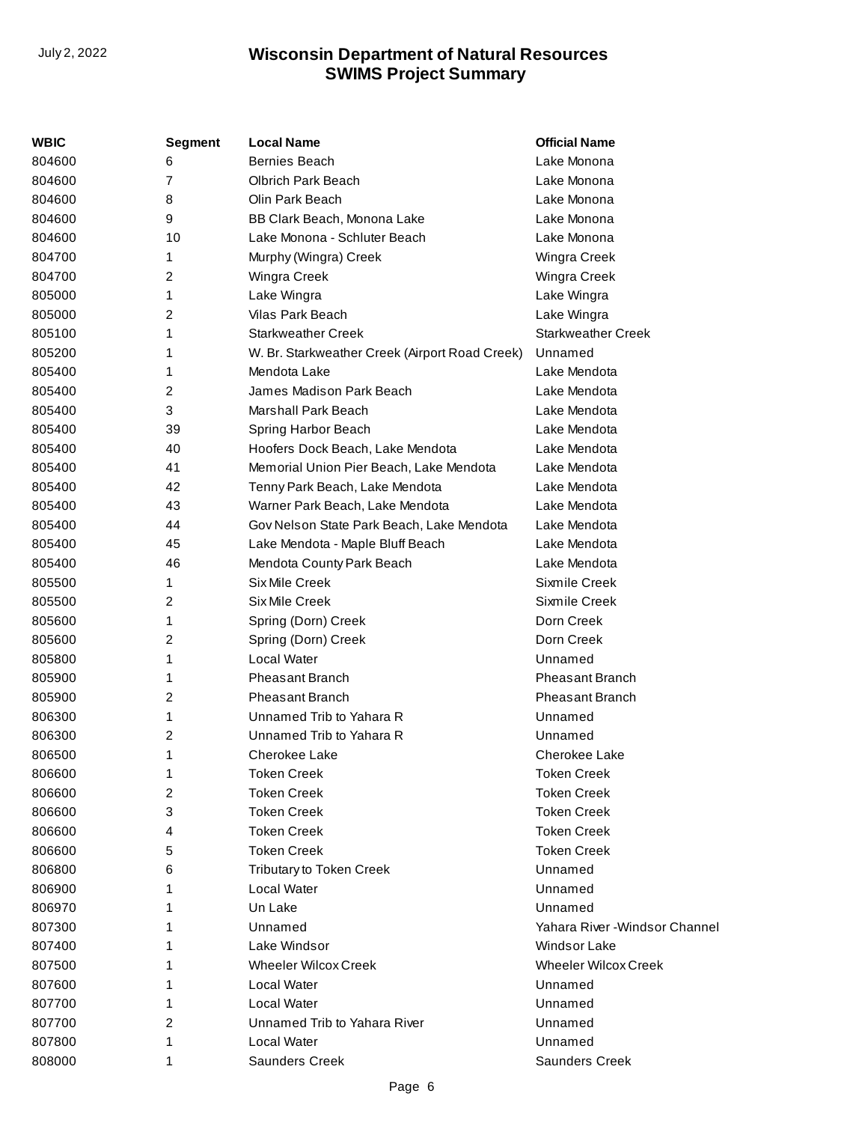| WBIC   | <b>Segment</b> | <b>Local Name</b>                              | <b>Official Name</b>           |
|--------|----------------|------------------------------------------------|--------------------------------|
| 804600 | 6              | <b>Bernies Beach</b>                           | Lake Monona                    |
| 804600 | 7              | <b>Olbrich Park Beach</b>                      | Lake Monona                    |
| 804600 | 8              | Olin Park Beach                                | Lake Monona                    |
| 804600 | 9              | BB Clark Beach, Monona Lake                    | Lake Monona                    |
| 804600 | 10             | Lake Monona - Schluter Beach                   | Lake Monona                    |
| 804700 | 1              | Murphy (Wingra) Creek                          | Wingra Creek                   |
| 804700 | 2              | Wingra Creek                                   | Wingra Creek                   |
| 805000 | 1              | Lake Wingra                                    | Lake Wingra                    |
| 805000 | 2              | Vilas Park Beach                               | Lake Wingra                    |
| 805100 | 1              | <b>Starkweather Creek</b>                      | Starkweather Creek             |
| 805200 | 1              | W. Br. Starkweather Creek (Airport Road Creek) | Unnamed                        |
| 805400 | 1              | Mendota Lake                                   | Lake Mendota                   |
| 805400 | 2              | James Madison Park Beach                       | Lake Mendota                   |
| 805400 | 3              | Marshall Park Beach                            | Lake Mendota                   |
| 805400 | 39             | Spring Harbor Beach                            | Lake Mendota                   |
| 805400 | 40             | Hoofers Dock Beach, Lake Mendota               | Lake Mendota                   |
| 805400 | 41             | Memorial Union Pier Beach, Lake Mendota        | Lake Mendota                   |
| 805400 | 42             | Tenny Park Beach, Lake Mendota                 | Lake Mendota                   |
| 805400 | 43             | Warner Park Beach, Lake Mendota                | Lake Mendota                   |
| 805400 | 44             | Gov Nelson State Park Beach, Lake Mendota      | Lake Mendota                   |
| 805400 | 45             | Lake Mendota - Maple Bluff Beach               | Lake Mendota                   |
| 805400 | 46             | Mendota County Park Beach                      | Lake Mendota                   |
| 805500 | 1              | Six Mile Creek                                 | Sixmile Creek                  |
| 805500 | 2              | <b>Six Mile Creek</b>                          | Sixmile Creek                  |
| 805600 | 1              | Spring (Dorn) Creek                            | Dorn Creek                     |
| 805600 | 2              | Spring (Dorn) Creek                            | Dorn Creek                     |
| 805800 | 1              | <b>Local Water</b>                             | Unnamed                        |
| 805900 | 1              | <b>Pheasant Branch</b>                         | <b>Pheasant Branch</b>         |
| 805900 | 2              | <b>Pheasant Branch</b>                         | <b>Pheasant Branch</b>         |
| 806300 | 1              | Unnamed Trib to Yahara R                       | Unnamed                        |
| 806300 | 2              | Unnamed Trib to Yahara R                       | Unnamed                        |
| 806500 | 1              | <b>Cherokee Lake</b>                           | <b>Cherokee Lake</b>           |
| 806600 | 1              | <b>Token Creek</b>                             | <b>Token Creek</b>             |
| 806600 | 2              | <b>Token Creek</b>                             | <b>Token Creek</b>             |
| 806600 | 3              | <b>Token Creek</b>                             | <b>Token Creek</b>             |
| 806600 | 4              | <b>Token Creek</b>                             | <b>Token Creek</b>             |
| 806600 | 5              | <b>Token Creek</b>                             | <b>Token Creek</b>             |
| 806800 | 6              | <b>Tributary to Token Creek</b>                | Unnamed                        |
| 806900 |                | <b>Local Water</b>                             | Unnamed                        |
| 806970 |                | Un Lake                                        | Unnamed                        |
| 807300 |                | Unnamed                                        | Yahara River - Windsor Channel |
| 807400 |                | Lake Windsor                                   | <b>Windsor Lake</b>            |
| 807500 |                | <b>Wheeler Wilcox Creek</b>                    | <b>Wheeler Wilcox Creek</b>    |
| 807600 |                | Local Water                                    | Unnamed                        |
| 807700 |                | <b>Local Water</b>                             | Unnamed                        |
| 807700 | 2              | Unnamed Trib to Yahara River                   | Unnamed                        |
| 807800 | 1              | <b>Local Water</b>                             | Unnamed                        |
| 808000 | 1              | <b>Saunders Creek</b>                          | <b>Saunders Creek</b>          |
|        |                |                                                |                                |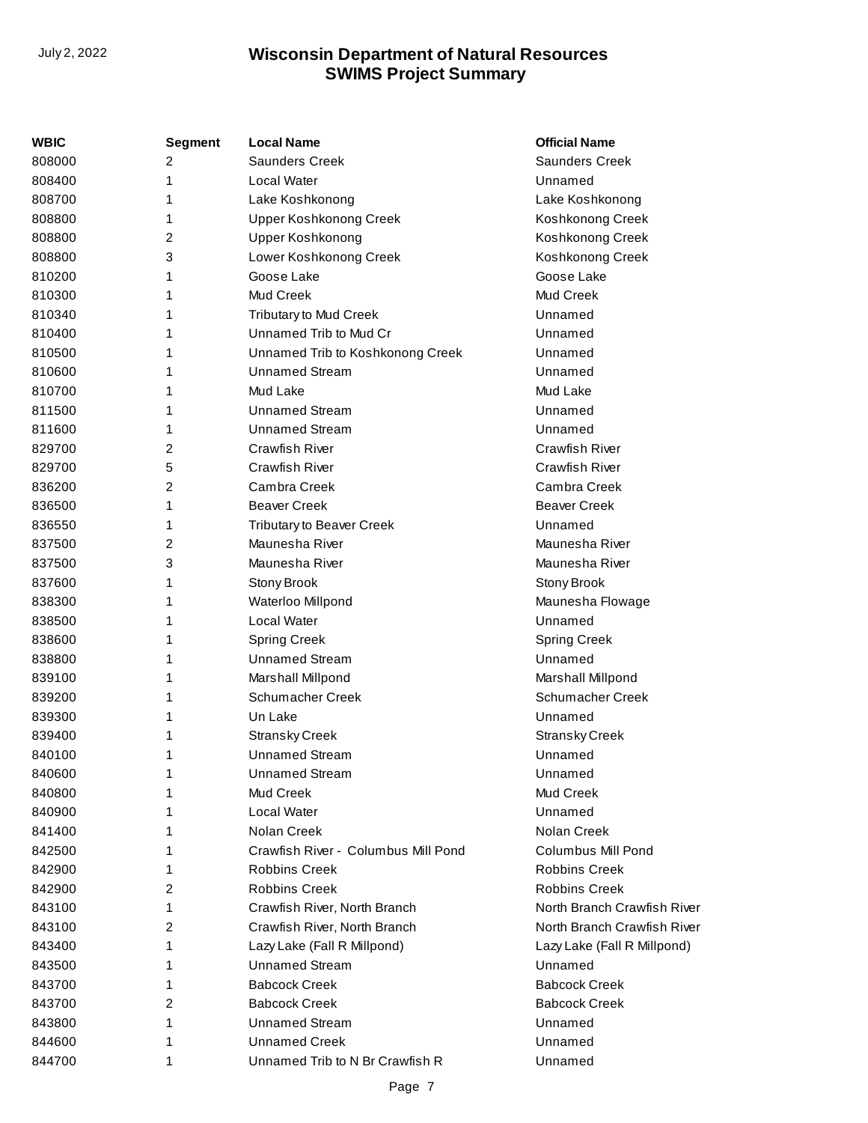| <b>WBIC</b> | <b>Segment</b> | <b>Local Name</b>                   | <b>Official Name</b>        |
|-------------|----------------|-------------------------------------|-----------------------------|
| 808000      | $\overline{c}$ | <b>Saunders Creek</b>               | <b>Saunders Creek</b>       |
| 808400      | 1              | Local Water                         | Unnamed                     |
| 808700      | 1              | Lake Koshkonong                     | Lake Koshkonong             |
| 808800      | 1              | <b>Upper Koshkonong Creek</b>       | Koshkonong Creek            |
| 808800      | $\overline{c}$ | Upper Koshkonong                    | Koshkonong Creek            |
| 808800      | 3              | Lower Koshkonong Creek              | Koshkonong Creek            |
| 810200      | 1              | Goose Lake                          | Goose Lake                  |
| 810300      | 1              | <b>Mud Creek</b>                    | Mud Creek                   |
| 810340      | 1              | <b>Tributary to Mud Creek</b>       | Unnamed                     |
| 810400      | 1              | Unnamed Trib to Mud Cr              | Unnamed                     |
| 810500      | 1              | Unnamed Trib to Koshkonong Creek    | Unnamed                     |
| 810600      | 1              | <b>Unnamed Stream</b>               | Unnamed                     |
| 810700      | 1              | Mud Lake                            | Mud Lake                    |
| 811500      | 1              | Unnamed Stream                      | Unnamed                     |
| 811600      | 1              | <b>Unnamed Stream</b>               | Unnamed                     |
| 829700      | 2              | <b>Crawfish River</b>               | <b>Crawfish River</b>       |
| 829700      | 5              | <b>Crawfish River</b>               | <b>Crawfish River</b>       |
| 836200      | $\overline{2}$ | Cambra Creek                        | Cambra Creek                |
| 836500      | 1              | <b>Beaver Creek</b>                 | <b>Beaver Creek</b>         |
| 836550      | 1              | <b>Tributary to Beaver Creek</b>    | Unnamed                     |
| 837500      | $\overline{2}$ | Maunesha River                      | Maunesha River              |
| 837500      | 3              | Maunesha River                      | Maunesha River              |
| 837600      | 1              | Stony Brook                         | Stony Brook                 |
| 838300      | 1              | Waterloo Millpond                   | Maunesha Flowage            |
| 838500      | 1              | Local Water                         | Unnamed                     |
| 838600      | 1              | <b>Spring Creek</b>                 | <b>Spring Creek</b>         |
| 838800      | 1              | <b>Unnamed Stream</b>               | Unnamed                     |
| 839100      | 1              | Marshall Millpond                   | Marshall Millpond           |
| 839200      | 1              | Schumacher Creek                    | Schumacher Creek            |
| 839300      | 1              | Un Lake                             | Unnamed                     |
| 839400      | 1              | <b>Stransky Creek</b>               | <b>Stransky Creek</b>       |
| 840100      | 1              | Unnamed Stream                      | Unnamed                     |
| 840600      | 1              | <b>Unnamed Stream</b>               | Unnamed                     |
| 840800      | 1              | Mud Creek                           | Mud Creek                   |
| 840900      | 1              | Local Water                         | Unnamed                     |
| 841400      | 1              | Nolan Creek                         | Nolan Creek                 |
| 842500      | 1              | Crawfish River - Columbus Mill Pond | Columbus Mill Pond          |
| 842900      | 1              | <b>Robbins Creek</b>                | <b>Robbins Creek</b>        |
| 842900      | 2              | <b>Robbins Creek</b>                | <b>Robbins Creek</b>        |
| 843100      | 1              | Crawfish River, North Branch        | North Branch Crawfish River |
| 843100      | 2              | Crawfish River, North Branch        | North Branch Crawfish River |
| 843400      | 1              | Lazy Lake (Fall R Millpond)         | Lazy Lake (Fall R Millpond) |
| 843500      | 1              | <b>Unnamed Stream</b>               | Unnamed                     |
| 843700      | 1              | <b>Babcock Creek</b>                | <b>Babcock Creek</b>        |
| 843700      | 2              | <b>Babcock Creek</b>                | <b>Babcock Creek</b>        |
| 843800      | 1              | <b>Unnamed Stream</b>               | Unnamed                     |
| 844600      | 1              | <b>Unnamed Creek</b>                | Unnamed                     |
| 844700      | 1              | Unnamed Trib to N Br Crawfish R     | Unnamed                     |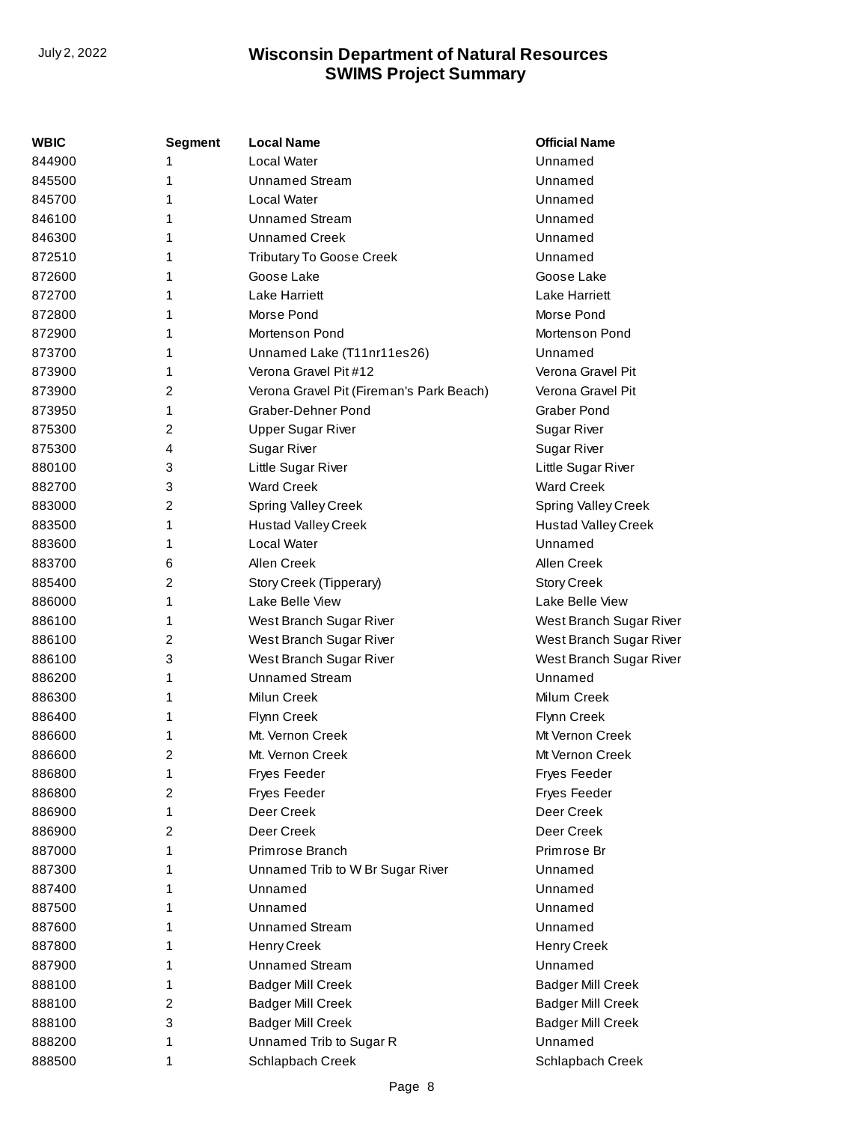| WBIC   | <b>Segment</b> | <b>Local Name</b>                        | <b>Official Name</b>       |
|--------|----------------|------------------------------------------|----------------------------|
| 844900 | 1              | Local Water                              | Unnamed                    |
| 845500 | 1              | <b>Unnamed Stream</b>                    | Unnamed                    |
| 845700 | 1              | Local Water                              | Unnamed                    |
| 846100 | 1              | <b>Unnamed Stream</b>                    | Unnamed                    |
| 846300 | 1              | <b>Unnamed Creek</b>                     | Unnamed                    |
| 872510 | 1              | <b>Tributary To Goose Creek</b>          | Unnamed                    |
| 872600 | 1              | Goose Lake                               | Goose Lake                 |
| 872700 | 1              | <b>Lake Harriett</b>                     | Lake Harriett              |
| 872800 | 1              | Morse Pond                               | Morse Pond                 |
| 872900 | 1              | Mortenson Pond                           | Mortenson Pond             |
| 873700 | 1              | Unnamed Lake (T11nr11es26)               | Unnamed                    |
| 873900 | 1              | Verona Gravel Pit #12                    | Verona Gravel Pit          |
| 873900 | 2              | Verona Gravel Pit (Fireman's Park Beach) | Verona Gravel Pit          |
| 873950 | 1              | Graber-Dehner Pond                       | <b>Graber Pond</b>         |
| 875300 | 2              | <b>Upper Sugar River</b>                 | Sugar River                |
| 875300 | 4              | <b>Sugar River</b>                       | <b>Sugar River</b>         |
| 880100 | 3              | Little Sugar River                       | Little Sugar River         |
| 882700 | 3              | <b>Ward Creek</b>                        | <b>Ward Creek</b>          |
| 883000 | $\overline{c}$ | <b>Spring Valley Creek</b>               | Spring Valley Creek        |
| 883500 | 1              | <b>Hustad Valley Creek</b>               | <b>Hustad Valley Creek</b> |
| 883600 | 1              | Local Water                              | Unnamed                    |
| 883700 | 6              | Allen Creek                              | Allen Creek                |
| 885400 | $\overline{c}$ | Story Creek (Tipperary)                  | <b>Story Creek</b>         |
| 886000 | 1              | Lake Belle View                          | Lake Belle View            |
| 886100 | 1              | West Branch Sugar River                  | West Branch Sugar River    |
| 886100 | 2              | West Branch Sugar River                  | West Branch Sugar River    |
| 886100 | 3              | West Branch Sugar River                  | West Branch Sugar River    |
| 886200 | 1              | <b>Unnamed Stream</b>                    | Unnamed                    |
| 886300 | 1              | Milun Creek                              | Milum Creek                |
| 886400 | 1              | Flynn Creek                              | Flynn Creek                |
| 886600 | 1              | Mt. Vernon Creek                         | Mt Vernon Creek            |
| 886600 | 2              | Mt. Vernon Creek                         | Mt Vernon Creek            |
| 886800 | 1              | Fryes Feeder                             | <b>Fryes Feeder</b>        |
| 886800 | 2              | Fryes Feeder                             | <b>Fryes Feeder</b>        |
| 886900 | 1              | Deer Creek                               | Deer Creek                 |
| 886900 | 2              | Deer Creek                               | Deer Creek                 |
| 887000 | 1              | Primrose Branch                          | Primrose Br                |
| 887300 | 1              | Unnamed Trib to W Br Sugar River         | Unnamed                    |
| 887400 | 1              | Unnamed                                  | Unnamed                    |
| 887500 | 1              | Unnamed                                  | Unnamed                    |
| 887600 | 1              | <b>Unnamed Stream</b>                    | Unnamed                    |
| 887800 | 1              | Henry Creek                              | Henry Creek                |
| 887900 | 1              | <b>Unnamed Stream</b>                    | Unnamed                    |
| 888100 | 1              | <b>Badger Mill Creek</b>                 | <b>Badger Mill Creek</b>   |
| 888100 | 2              | <b>Badger Mill Creek</b>                 | <b>Badger Mill Creek</b>   |
| 888100 | 3              | <b>Badger Mill Creek</b>                 | <b>Badger Mill Creek</b>   |
| 888200 | 1              | Unnamed Trib to Sugar R                  | Unnamed                    |
| 888500 | 1              | Schlapbach Creek                         | Schlapbach Creek           |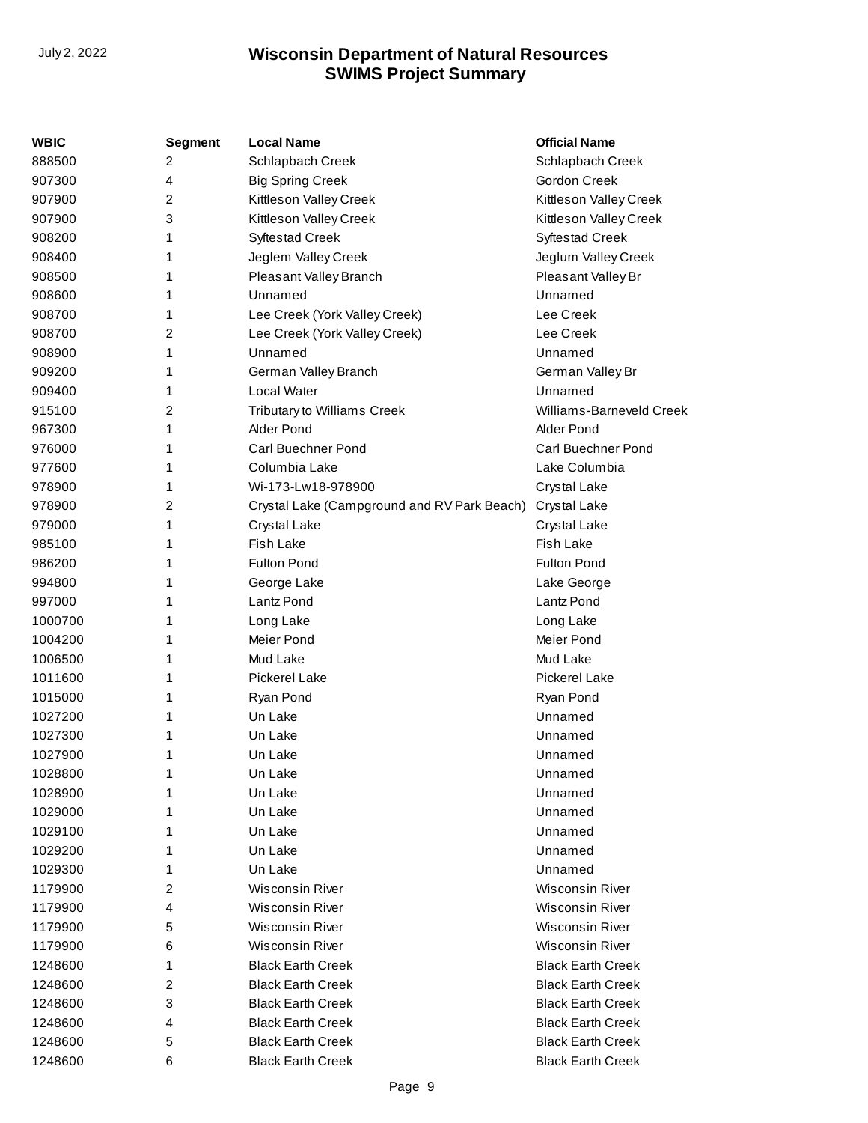| WBIC    | <b>Segment</b> | <b>Local Name</b>                           | <b>Official Name</b>     |
|---------|----------------|---------------------------------------------|--------------------------|
| 888500  | 2              | Schlapbach Creek                            | Schlapbach Creek         |
| 907300  | 4              | <b>Big Spring Creek</b>                     | Gordon Creek             |
| 907900  | 2              | Kittleson Valley Creek                      | Kittleson Valley Creek   |
| 907900  | 3              | Kittleson Valley Creek                      | Kittleson Valley Creek   |
| 908200  | 1              | <b>Syftestad Creek</b>                      | Syftestad Creek          |
| 908400  | 1              | Jeglem Valley Creek                         | Jeglum Valley Creek      |
| 908500  | 1              | Pleasant Valley Branch                      | Pleasant Valley Br       |
| 908600  | 1              | Unnamed                                     | Unnamed                  |
| 908700  | 1              | Lee Creek (York Valley Creek)               | Lee Creek                |
| 908700  | 2              | Lee Creek (York Valley Creek)               | Lee Creek                |
| 908900  | 1              | Unnamed                                     | Unnamed                  |
| 909200  | 1              | German Valley Branch                        | German Valley Br         |
| 909400  | 1              | Local Water                                 | Unnamed                  |
| 915100  | 2              | Tributary to Williams Creek                 | Williams-Barneveld Creek |
| 967300  | 1              | Alder Pond                                  | Alder Pond               |
| 976000  | 1              | <b>Carl Buechner Pond</b>                   | Carl Buechner Pond       |
| 977600  | 1              | Columbia Lake                               | Lake Columbia            |
| 978900  | 1              | Wi-173-Lw18-978900                          | Crystal Lake             |
| 978900  | 2              | Crystal Lake (Campground and RV Park Beach) | Crystal Lake             |
| 979000  | 1              | Crystal Lake                                | Crystal Lake             |
| 985100  | 1              | <b>Fish Lake</b>                            | <b>Fish Lake</b>         |
| 986200  | 1              | <b>Fulton Pond</b>                          | <b>Fulton Pond</b>       |
| 994800  | 1              | George Lake                                 | Lake George              |
| 997000  | 1              | Lantz Pond                                  | Lantz Pond               |
| 1000700 | 1              | Long Lake                                   | Long Lake                |
| 1004200 | 1              | Meier Pond                                  | Meier Pond               |
| 1006500 | 1              | Mud Lake                                    | Mud Lake                 |
| 1011600 | 1              | Pickerel Lake                               | <b>Pickerel Lake</b>     |
| 1015000 | 1              | Ryan Pond                                   | Ryan Pond                |
| 1027200 | 1              | Un Lake                                     | Unnamed                  |
| 1027300 | 1              | Un Lake                                     | Unnamed                  |
| 1027900 | 1              | Un Lake                                     | Unnamed                  |
| 1028800 | 1              | Un Lake                                     | Unnamed                  |
| 1028900 | 1              | Un Lake                                     | Unnamed                  |
| 1029000 | 1              | Un Lake                                     | Unnamed                  |
| 1029100 | 1              | Un Lake                                     | Unnamed                  |
| 1029200 | 1              | Un Lake                                     | Unnamed                  |
| 1029300 | 1              | Un Lake                                     | Unnamed                  |
| 1179900 | 2              | <b>Wisconsin River</b>                      | <b>Wisconsin River</b>   |
| 1179900 | 4              | <b>Wisconsin River</b>                      | <b>Wisconsin River</b>   |
| 1179900 | 5              | <b>Wisconsin River</b>                      | Wisconsin River          |
| 1179900 | 6              | <b>Wisconsin River</b>                      | Wisconsin River          |
| 1248600 | 1              | <b>Black Earth Creek</b>                    | <b>Black Earth Creek</b> |
| 1248600 | 2              | <b>Black Earth Creek</b>                    | <b>Black Earth Creek</b> |
| 1248600 | 3              | <b>Black Earth Creek</b>                    | <b>Black Earth Creek</b> |
| 1248600 | 4              | <b>Black Earth Creek</b>                    | <b>Black Earth Creek</b> |
| 1248600 | 5              | <b>Black Earth Creek</b>                    | <b>Black Earth Creek</b> |
| 1248600 | 6              | <b>Black Earth Creek</b>                    | <b>Black Earth Creek</b> |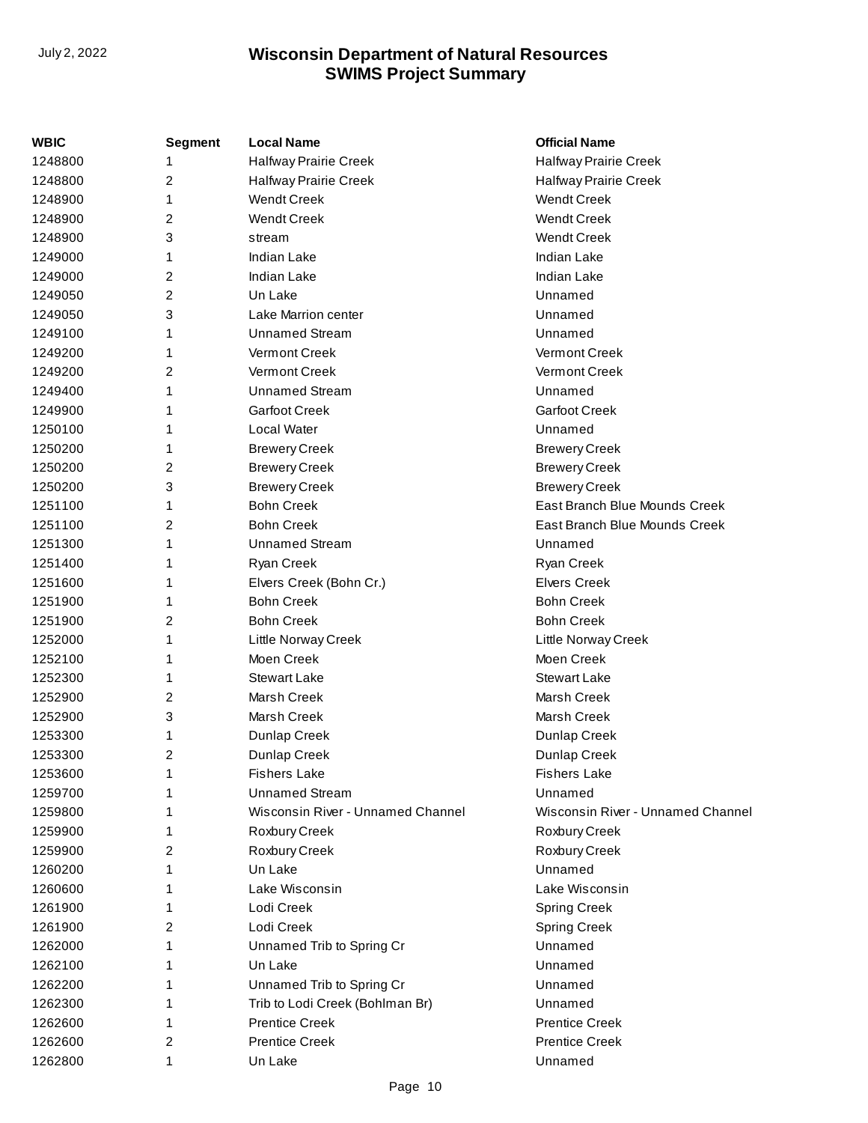| <b>WBIC</b> | <b>Segment</b> | <b>Local Name</b>                 | <b>Official Name</b>              |
|-------------|----------------|-----------------------------------|-----------------------------------|
| 1248800     | 1              | Halfway Prairie Creek             | Halfway Prairie Creek             |
| 1248800     | 2              | <b>Halfway Prairie Creek</b>      | Halfway Prairie Creek             |
| 1248900     | 1              | <b>Wendt Creek</b>                | <b>Wendt Creek</b>                |
| 1248900     | 2              | <b>Wendt Creek</b>                | <b>Wendt Creek</b>                |
| 1248900     | 3              | stream                            | <b>Wendt Creek</b>                |
| 1249000     | 1              | <b>Indian Lake</b>                | <b>Indian Lake</b>                |
| 1249000     | 2              | <b>Indian Lake</b>                | Indian Lake                       |
| 1249050     | $\overline{2}$ | Un Lake                           | Unnamed                           |
| 1249050     | 3              | Lake Marrion center               | Unnamed                           |
| 1249100     | 1              | <b>Unnamed Stream</b>             | Unnamed                           |
| 1249200     | 1              | Vermont Creek                     | <b>Vermont Creek</b>              |
| 1249200     | 2              | Vermont Creek                     | <b>Vermont Creek</b>              |
| 1249400     | 1              | <b>Unnamed Stream</b>             | Unnamed                           |
| 1249900     | 1              | <b>Garfoot Creek</b>              | <b>Garfoot Creek</b>              |
| 1250100     | 1              | Local Water                       | Unnamed                           |
| 1250200     | 1              | <b>Brewery Creek</b>              | <b>Brewery Creek</b>              |
| 1250200     | 2              | <b>Brewery Creek</b>              | <b>Brewery Creek</b>              |
| 1250200     | 3              | <b>Brewery Creek</b>              | <b>Brewery Creek</b>              |
| 1251100     | 1              | <b>Bohn Creek</b>                 | East Branch Blue Mounds Creek     |
| 1251100     | 2              | <b>Bohn Creek</b>                 | East Branch Blue Mounds Creek     |
| 1251300     | 1              | <b>Unnamed Stream</b>             | Unnamed                           |
| 1251400     | 1              | Ryan Creek                        | Ryan Creek                        |
| 1251600     | 1              | Elvers Creek (Bohn Cr.)           | <b>Elvers Creek</b>               |
| 1251900     | 1              | <b>Bohn Creek</b>                 | <b>Bohn Creek</b>                 |
| 1251900     | 2              | <b>Bohn Creek</b>                 | <b>Bohn Creek</b>                 |
| 1252000     | 1              | Little Norway Creek               | Little Norway Creek               |
| 1252100     | 1              | Moen Creek                        | Moen Creek                        |
| 1252300     | 1              | <b>Stewart Lake</b>               | <b>Stewart Lake</b>               |
| 1252900     | 2              | Marsh Creek                       | Marsh Creek                       |
| 1252900     | 3              | Marsh Creek                       | Marsh Creek                       |
| 1253300     | 1              | Dunlap Creek                      | Dunlap Creek                      |
| 1253300     | 2              | Dunlap Creek                      | Dunlap Creek                      |
| 1253600     | 1              | <b>Fishers Lake</b>               | <b>Fishers Lake</b>               |
| 1259700     |                | <b>Unnamed Stream</b>             | Unnamed                           |
| 1259800     | 1              | Wisconsin River - Unnamed Channel | Wisconsin River - Unnamed Channel |
| 1259900     | 1              | Roxbury Creek                     | Roxbury Creek                     |
| 1259900     | 2              | Roxbury Creek                     | Roxbury Creek                     |
| 1260200     | 1              | Un Lake                           | Unnamed                           |
| 1260600     | 1              | Lake Wisconsin                    | Lake Wisconsin                    |
| 1261900     | 1              | Lodi Creek                        | <b>Spring Creek</b>               |
| 1261900     | 2              | Lodi Creek                        | <b>Spring Creek</b>               |
| 1262000     | 1              | Unnamed Trib to Spring Cr         | Unnamed                           |
| 1262100     | 1              | Un Lake                           | Unnamed                           |
| 1262200     | 1              | Unnamed Trib to Spring Cr         | Unnamed                           |
| 1262300     | 1              | Trib to Lodi Creek (Bohlman Br)   | Unnamed                           |
| 1262600     | 1              | <b>Prentice Creek</b>             | <b>Prentice Creek</b>             |
| 1262600     | 2              | <b>Prentice Creek</b>             | <b>Prentice Creek</b>             |
| 1262800     | 1              | Un Lake                           | Unnamed                           |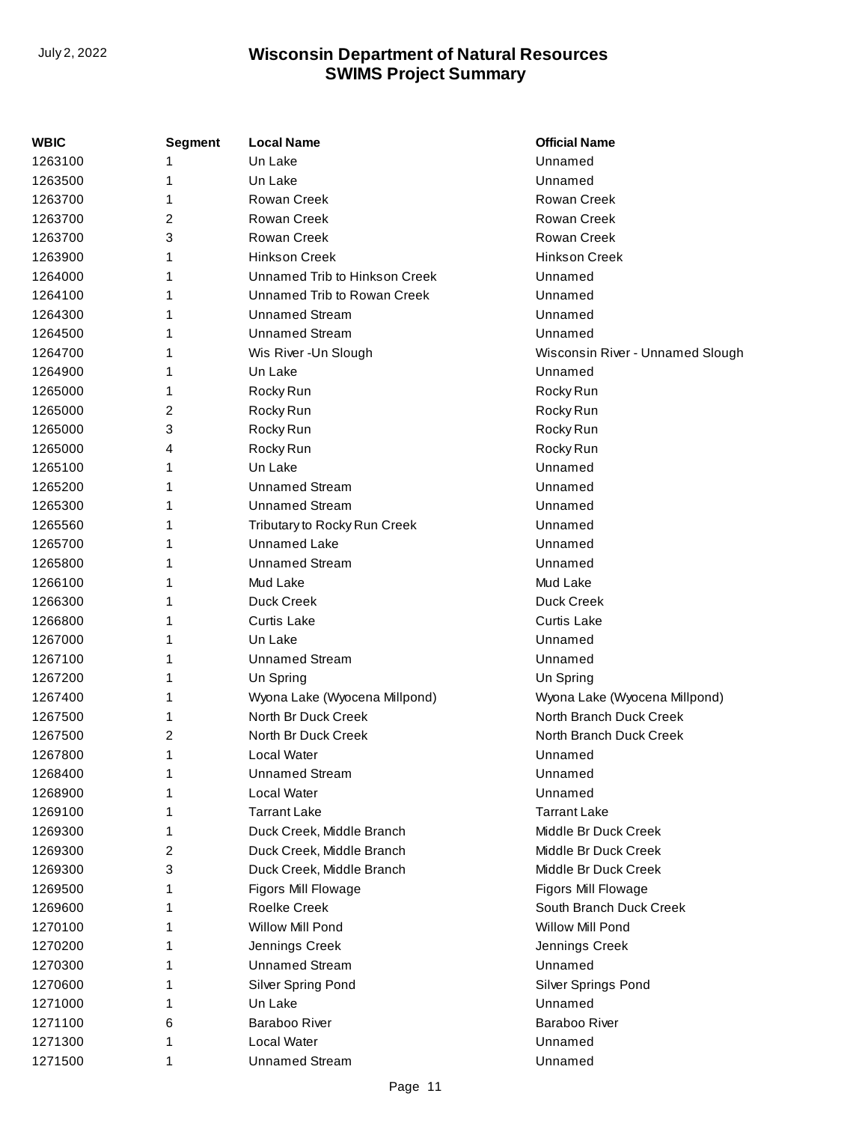| WBIC    | <b>Segment</b> | <b>Local Name</b>             | <b>Official Name</b>             |
|---------|----------------|-------------------------------|----------------------------------|
| 1263100 | 1              | Un Lake                       | Unnamed                          |
| 1263500 | 1              | Un Lake                       | Unnamed                          |
| 1263700 | 1              | Rowan Creek                   | Rowan Creek                      |
| 1263700 | 2              | Rowan Creek                   | <b>Rowan Creek</b>               |
| 1263700 | 3              | Rowan Creek                   | <b>Rowan Creek</b>               |
| 1263900 | 1              | <b>Hinkson Creek</b>          | <b>Hinkson Creek</b>             |
| 1264000 | 1              | Unnamed Trib to Hinkson Creek | Unnamed                          |
| 1264100 | 1              | Unnamed Trib to Rowan Creek   | Unnamed                          |
| 1264300 | 1              | <b>Unnamed Stream</b>         | Unnamed                          |
| 1264500 | 1              | <b>Unnamed Stream</b>         | Unnamed                          |
| 1264700 | 1              | Wis River - Un Slough         | Wisconsin River - Unnamed Slough |
| 1264900 | 1              | Un Lake                       | Unnamed                          |
| 1265000 | 1              | Rocky Run                     | Rocky Run                        |
| 1265000 | 2              | Rocky Run                     | Rocky Run                        |
| 1265000 | 3              | Rocky Run                     | Rocky Run                        |
| 1265000 | 4              | Rocky Run                     | Rocky Run                        |
| 1265100 | 1              | Un Lake                       | Unnamed                          |
| 1265200 | 1              | <b>Unnamed Stream</b>         | Unnamed                          |
| 1265300 | 1              | <b>Unnamed Stream</b>         | Unnamed                          |
| 1265560 | 1              | Tributary to Rocky Run Creek  | Unnamed                          |
| 1265700 | 1              | <b>Unnamed Lake</b>           | Unnamed                          |
| 1265800 | 1              | <b>Unnamed Stream</b>         | Unnamed                          |
| 1266100 | 1              | Mud Lake                      | Mud Lake                         |
| 1266300 | 1              | Duck Creek                    | Duck Creek                       |
| 1266800 | 1              | <b>Curtis Lake</b>            | <b>Curtis Lake</b>               |
| 1267000 | 1              | Un Lake                       | Unnamed                          |
| 1267100 | 1              | <b>Unnamed Stream</b>         | Unnamed                          |
| 1267200 | 1              | Un Spring                     | Un Spring                        |
| 1267400 | 1              | Wyona Lake (Wyocena Millpond) | Wyona Lake (Wyocena Millpond)    |
| 1267500 | 1              | North Br Duck Creek           | North Branch Duck Creek          |
| 1267500 | 2              | North Br Duck Creek           | North Branch Duck Creek          |
| 1267800 | 1              | Local Water                   | Unnamed                          |
| 1268400 | 1              | <b>Unnamed Stream</b>         | Unnamed                          |
| 1268900 | 1              | Local Water                   | Unnamed                          |
| 1269100 | 1              | <b>Tarrant Lake</b>           | <b>Tarrant Lake</b>              |
| 1269300 | 1              | Duck Creek, Middle Branch     | Middle Br Duck Creek             |
| 1269300 | 2              | Duck Creek, Middle Branch     | Middle Br Duck Creek             |
| 1269300 | 3              | Duck Creek, Middle Branch     | Middle Br Duck Creek             |
| 1269500 | 1              | Figors Mill Flowage           | Figors Mill Flowage              |
| 1269600 | 1              | <b>Roelke Creek</b>           | South Branch Duck Creek          |
| 1270100 | 1              | Willow Mill Pond              | <b>Willow Mill Pond</b>          |
| 1270200 | 1              | Jennings Creek                | Jennings Creek                   |
| 1270300 | 1              | <b>Unnamed Stream</b>         | Unnamed                          |
| 1270600 | 1              | Silver Spring Pond            | Silver Springs Pond              |
| 1271000 | 1              | Un Lake                       | Unnamed                          |
| 1271100 | 6              | Baraboo River                 | <b>Baraboo River</b>             |
| 1271300 | 1              | Local Water                   | Unnamed                          |
| 1271500 | 1              | <b>Unnamed Stream</b>         | Unnamed                          |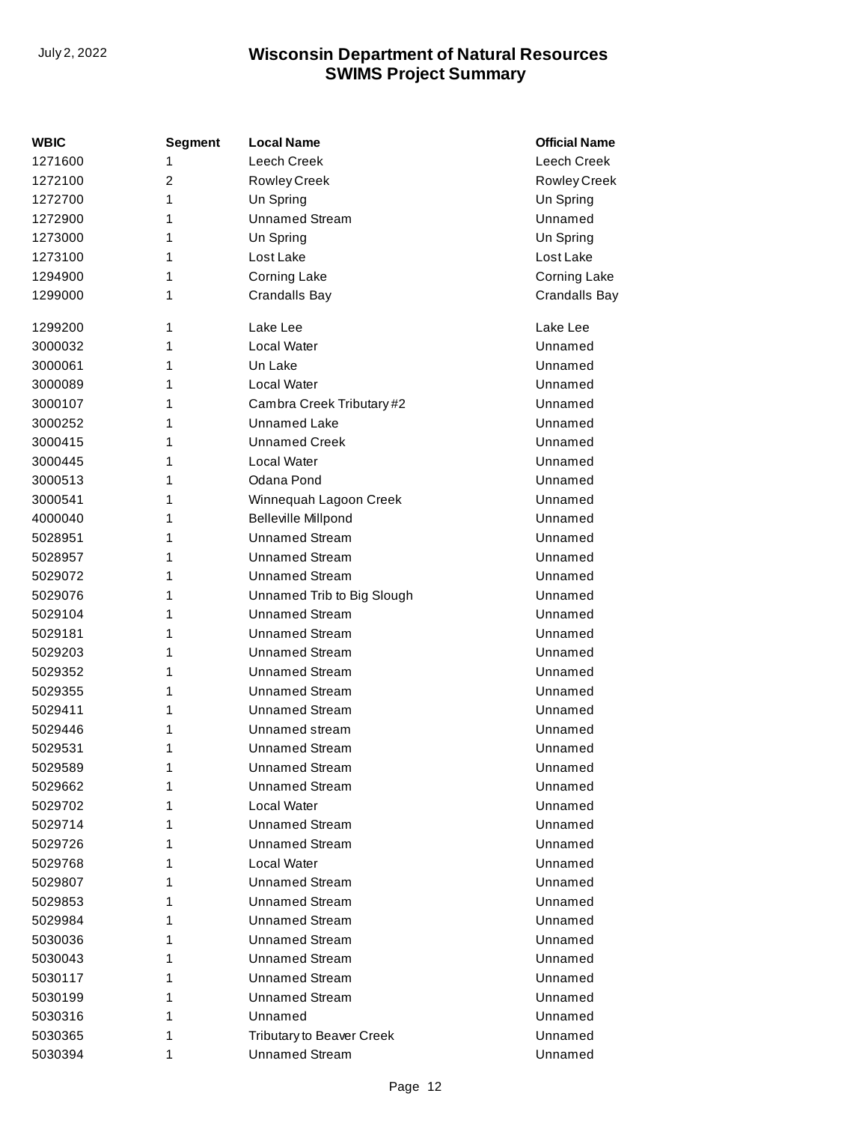| WBIC    | <b>Segment</b> | <b>Local Name</b>                | <b>Official Name</b> |
|---------|----------------|----------------------------------|----------------------|
| 1271600 | 1              | <b>Leech Creek</b>               | Leech Creek          |
| 1272100 | $\overline{2}$ | <b>Rowley Creek</b>              | Rowley Creek         |
| 1272700 | 1              | Un Spring                        | Un Spring            |
| 1272900 | 1              | <b>Unnamed Stream</b>            | Unnamed              |
| 1273000 | 1              | Un Spring                        | Un Spring            |
| 1273100 | 1              | Lost Lake                        | Lost Lake            |
| 1294900 | 1              | <b>Corning Lake</b>              | Corning Lake         |
| 1299000 | 1              | <b>Crandalls Bay</b>             | Crandalls Bay        |
| 1299200 | 1              | Lake Lee                         | Lake Lee             |
| 3000032 | 1              | Local Water                      | Unnamed              |
| 3000061 | 1              | Un Lake                          | Unnamed              |
| 3000089 | 1              | Local Water                      | Unnamed              |
| 3000107 | 1              | Cambra Creek Tributary #2        | Unnamed              |
| 3000252 | 1              | <b>Unnamed Lake</b>              | Unnamed              |
| 3000415 | 1              | <b>Unnamed Creek</b>             | Unnamed              |
| 3000445 | 1              | Local Water                      | Unnamed              |
| 3000513 | 1              | Odana Pond                       | Unnamed              |
| 3000541 | 1              | Winnequah Lagoon Creek           | Unnamed              |
| 4000040 | 1              | <b>Belleville Millpond</b>       | Unnamed              |
| 5028951 | 1              | <b>Unnamed Stream</b>            | Unnamed              |
| 5028957 | 1              | <b>Unnamed Stream</b>            | Unnamed              |
| 5029072 | 1              | <b>Unnamed Stream</b>            | Unnamed              |
| 5029076 | 1              | Unnamed Trib to Big Slough       | Unnamed              |
| 5029104 | 1              | <b>Unnamed Stream</b>            | Unnamed              |
| 5029181 | 1              | <b>Unnamed Stream</b>            | Unnamed              |
| 5029203 | 1              | <b>Unnamed Stream</b>            | Unnamed              |
| 5029352 | 1              | <b>Unnamed Stream</b>            | Unnamed              |
| 5029355 | 1              | <b>Unnamed Stream</b>            | Unnamed              |
| 5029411 | 1              | <b>Unnamed Stream</b>            | Unnamed              |
| 5029446 | 1              | Unnamed stream                   | Unnamed              |
| 5029531 | 1              | <b>Unnamed Stream</b>            | Unnamed              |
| 5029589 | 1              | <b>Unnamed Stream</b>            | Unnamed              |
| 5029662 | 1              | <b>Unnamed Stream</b>            | Unnamed              |
| 5029702 | 1              | Local Water                      | Unnamed              |
| 5029714 | 1              | <b>Unnamed Stream</b>            | Unnamed              |
| 5029726 | 1              | <b>Unnamed Stream</b>            | Unnamed              |
| 5029768 | 1              | Local Water                      | Unnamed              |
| 5029807 | 1              | <b>Unnamed Stream</b>            | Unnamed              |
| 5029853 | 1              | <b>Unnamed Stream</b>            | Unnamed              |
| 5029984 | 1              | <b>Unnamed Stream</b>            | Unnamed              |
| 5030036 | 1              | <b>Unnamed Stream</b>            | Unnamed              |
| 5030043 | 1              | <b>Unnamed Stream</b>            | Unnamed              |
| 5030117 | 1              | <b>Unnamed Stream</b>            | Unnamed              |
| 5030199 | 1              | <b>Unnamed Stream</b>            | Unnamed              |
| 5030316 | 1              | Unnamed                          | Unnamed              |
| 5030365 | 1              | <b>Tributary to Beaver Creek</b> | Unnamed              |
| 5030394 | 1              | <b>Unnamed Stream</b>            | Unnamed              |
|         |                |                                  |                      |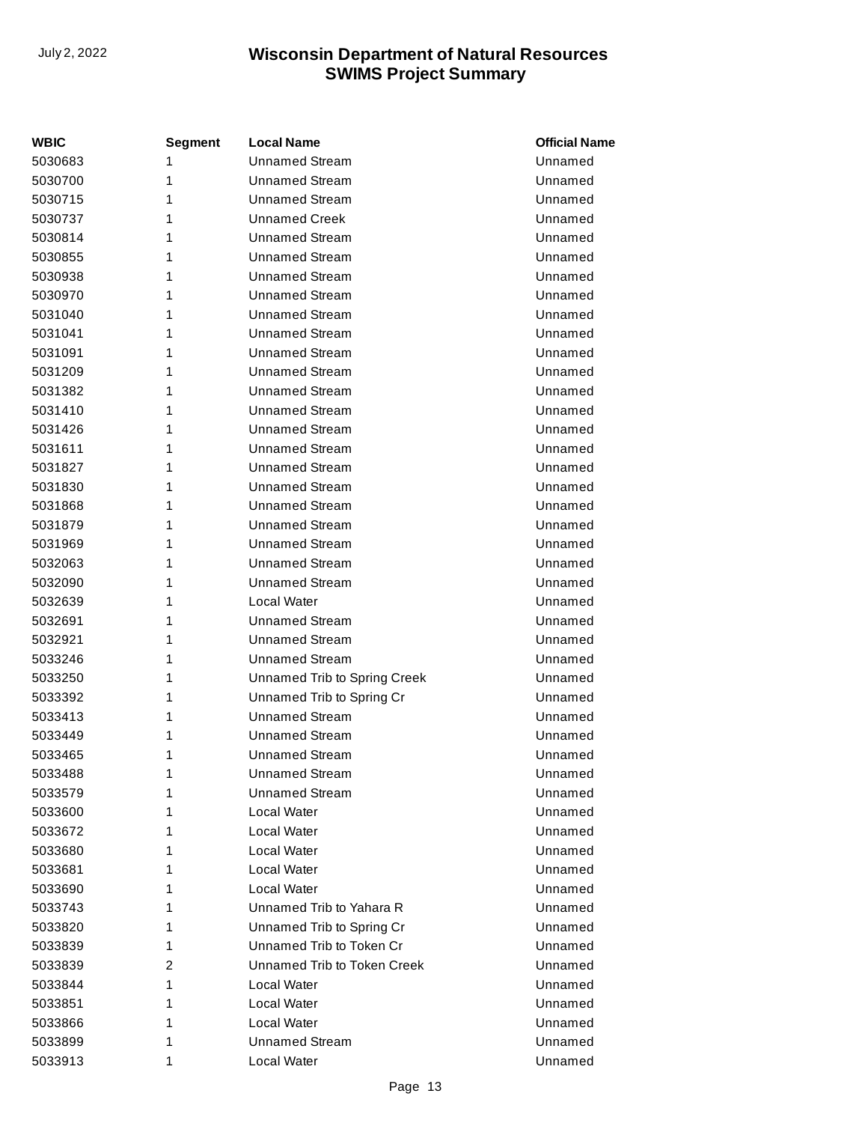| <b>WBIC</b> | Segment | <b>Local Name</b>            | <b>Official Name</b> |
|-------------|---------|------------------------------|----------------------|
| 5030683     | 1       | <b>Unnamed Stream</b>        | Unnamed              |
| 5030700     | 1       | Unnamed Stream               | Unnamed              |
| 5030715     | 1       | <b>Unnamed Stream</b>        | Unnamed              |
| 5030737     | 1       | <b>Unnamed Creek</b>         | Unnamed              |
| 5030814     | 1       | <b>Unnamed Stream</b>        | Unnamed              |
| 5030855     | 1       | Unnamed Stream               | Unnamed              |
| 5030938     | 1       | Unnamed Stream               | Unnamed              |
| 5030970     | 1       | <b>Unnamed Stream</b>        | Unnamed              |
| 5031040     | 1       | <b>Unnamed Stream</b>        | Unnamed              |
| 5031041     | 1       | Unnamed Stream               | Unnamed              |
| 5031091     | 1       | <b>Unnamed Stream</b>        | Unnamed              |
| 5031209     | 1       | <b>Unnamed Stream</b>        | Unnamed              |
| 5031382     | 1       | <b>Unnamed Stream</b>        | Unnamed              |
| 5031410     | 1       | <b>Unnamed Stream</b>        | Unnamed              |
| 5031426     | 1       | Unnamed Stream               | Unnamed              |
| 5031611     | 1       | <b>Unnamed Stream</b>        | Unnamed              |
| 5031827     | 1       | <b>Unnamed Stream</b>        | Unnamed              |
| 5031830     | 1       | Unnamed Stream               | Unnamed              |
| 5031868     | 1       | <b>Unnamed Stream</b>        | Unnamed              |
| 5031879     | 1       | <b>Unnamed Stream</b>        | Unnamed              |
| 5031969     | 1       | <b>Unnamed Stream</b>        | Unnamed              |
| 5032063     | 1       | Unnamed Stream               | Unnamed              |
| 5032090     | 1       | Unnamed Stream               | Unnamed              |
| 5032639     | 1       | Local Water                  | Unnamed              |
| 5032691     | 1       | <b>Unnamed Stream</b>        | Unnamed              |
| 5032921     | 1       | <b>Unnamed Stream</b>        | Unnamed              |
| 5033246     | 1       | <b>Unnamed Stream</b>        | Unnamed              |
| 5033250     | 1       | Unnamed Trib to Spring Creek | Unnamed              |
| 5033392     | 1       | Unnamed Trib to Spring Cr    | Unnamed              |
| 5033413     | 1       | <b>Unnamed Stream</b>        | Unnamed              |
| 5033449     | 1       | Unnamed Stream               | Unnamed              |
| 5033465     | 1       | <b>Unnamed Stream</b>        | Unnamed              |
| 5033488     | 1       | <b>Unnamed Stream</b>        | Unnamed              |
| 5033579     | 1       | Unnamed Stream               | Unnamed              |
| 5033600     | 1       | Local Water                  | Unnamed              |
| 5033672     | 1       | Local Water                  | Unnamed              |
| 5033680     | 1       | Local Water                  | Unnamed              |
| 5033681     | 1       | Local Water                  | Unnamed              |
| 5033690     | 1       | Local Water                  | Unnamed              |
| 5033743     | 1       | Unnamed Trib to Yahara R     | Unnamed              |
| 5033820     | 1       | Unnamed Trib to Spring Cr    | Unnamed              |
| 5033839     | 1       | Unnamed Trib to Token Cr     | Unnamed              |
| 5033839     | 2       | Unnamed Trib to Token Creek  | Unnamed              |
| 5033844     | 1       | Local Water                  | Unnamed              |
| 5033851     | 1       | Local Water                  | Unnamed              |
| 5033866     | 1       | Local Water                  | Unnamed              |
| 5033899     | 1       | <b>Unnamed Stream</b>        | Unnamed              |
| 5033913     | 1       | Local Water                  | Unnamed              |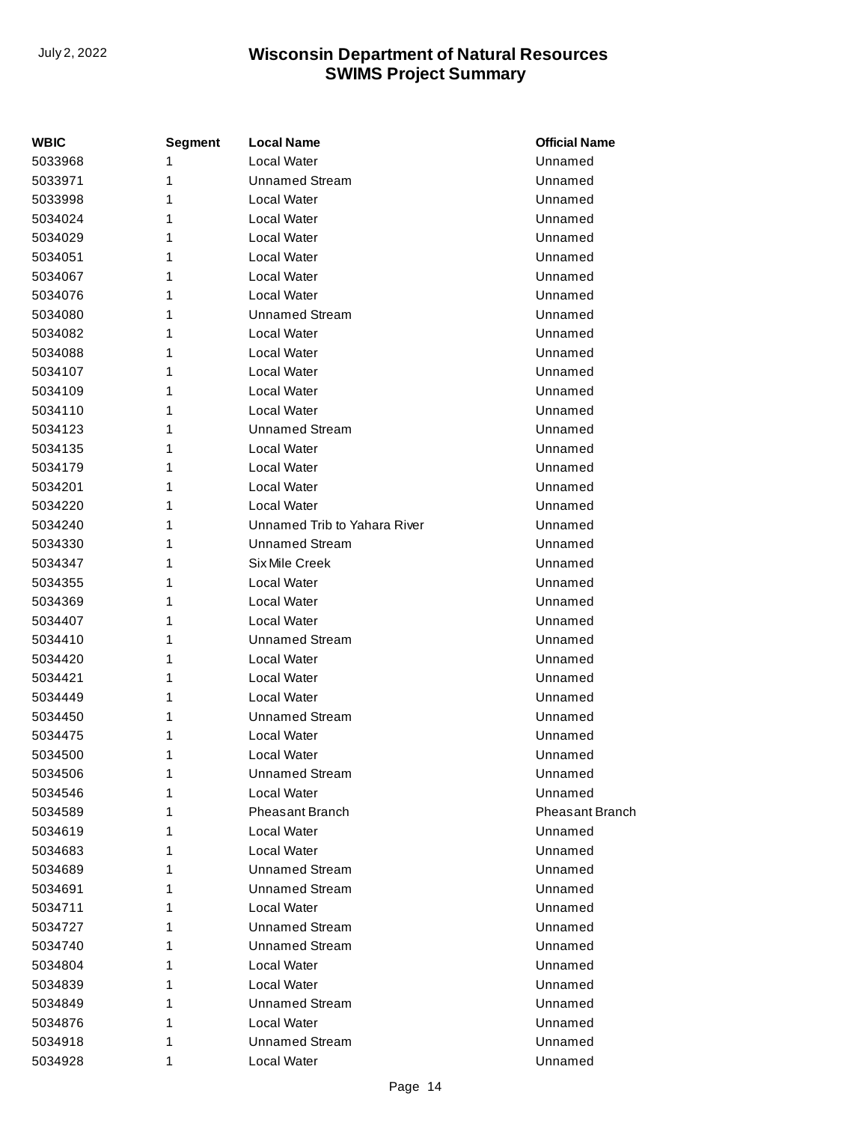| WBIC    | Segment | <b>Local Name</b>            | <b>Official Name</b>   |
|---------|---------|------------------------------|------------------------|
| 5033968 | 1       | <b>Local Water</b>           | Unnamed                |
| 5033971 | 1       | <b>Unnamed Stream</b>        | Unnamed                |
| 5033998 | 1       | Local Water                  | Unnamed                |
| 5034024 | 1       | <b>Local Water</b>           | Unnamed                |
| 5034029 | 1       | Local Water                  | Unnamed                |
| 5034051 | 1       | Local Water                  | Unnamed                |
| 5034067 | 1       | Local Water                  | Unnamed                |
| 5034076 | 1       | Local Water                  | Unnamed                |
| 5034080 | 1       | Unnamed Stream               | Unnamed                |
| 5034082 | 1       | Local Water                  | Unnamed                |
| 5034088 | 1       | Local Water                  | Unnamed                |
| 5034107 | 1       | <b>Local Water</b>           | Unnamed                |
| 5034109 | 1       | Local Water                  | Unnamed                |
| 5034110 | 1       | Local Water                  | Unnamed                |
| 5034123 | 1       | Unnamed Stream               | Unnamed                |
| 5034135 | 1       | Local Water                  | Unnamed                |
| 5034179 | 1       | Local Water                  | Unnamed                |
| 5034201 | 1       | Local Water                  | Unnamed                |
| 5034220 | 1       | Local Water                  | Unnamed                |
| 5034240 | 1       | Unnamed Trib to Yahara River | Unnamed                |
| 5034330 | 1       | <b>Unnamed Stream</b>        | Unnamed                |
| 5034347 | 1       | Six Mile Creek               | Unnamed                |
| 5034355 | 1       | Local Water                  | Unnamed                |
| 5034369 | 1       | Local Water                  | Unnamed                |
| 5034407 | 1       | Local Water                  | Unnamed                |
| 5034410 | 1       | <b>Unnamed Stream</b>        | Unnamed                |
| 5034420 | 1       | <b>Local Water</b>           | Unnamed                |
| 5034421 | 1       | Local Water                  | Unnamed                |
| 5034449 | 1       | Local Water                  | Unnamed                |
| 5034450 | 1       | <b>Unnamed Stream</b>        | Unnamed                |
| 5034475 | 1       | Local Water                  | Unnamed                |
| 5034500 | 1       | <b>Local Water</b>           | Unnamed                |
| 5034506 | 1       | <b>Unnamed Stream</b>        | Unnamed                |
| 5034546 | 1       | Local Water                  | Unnamed                |
| 5034589 | 1       | <b>Pheasant Branch</b>       | <b>Pheasant Branch</b> |
| 5034619 | 1       | Local Water                  | Unnamed                |
| 5034683 | 1       | Local Water                  | Unnamed                |
| 5034689 | 1       | <b>Unnamed Stream</b>        | Unnamed                |
| 5034691 | 1       | <b>Unnamed Stream</b>        | Unnamed                |
| 5034711 | 1       | Local Water                  | Unnamed                |
| 5034727 | 1       | <b>Unnamed Stream</b>        | Unnamed                |
| 5034740 | 1       | <b>Unnamed Stream</b>        | Unnamed                |
| 5034804 | 1       | Local Water                  | Unnamed                |
| 5034839 | 1       | Local Water                  | Unnamed                |
| 5034849 | 1       | <b>Unnamed Stream</b>        | Unnamed                |
| 5034876 | 1       | Local Water                  | Unnamed                |
| 5034918 | 1       | <b>Unnamed Stream</b>        | Unnamed                |
| 5034928 | 1       | Local Water                  | Unnamed                |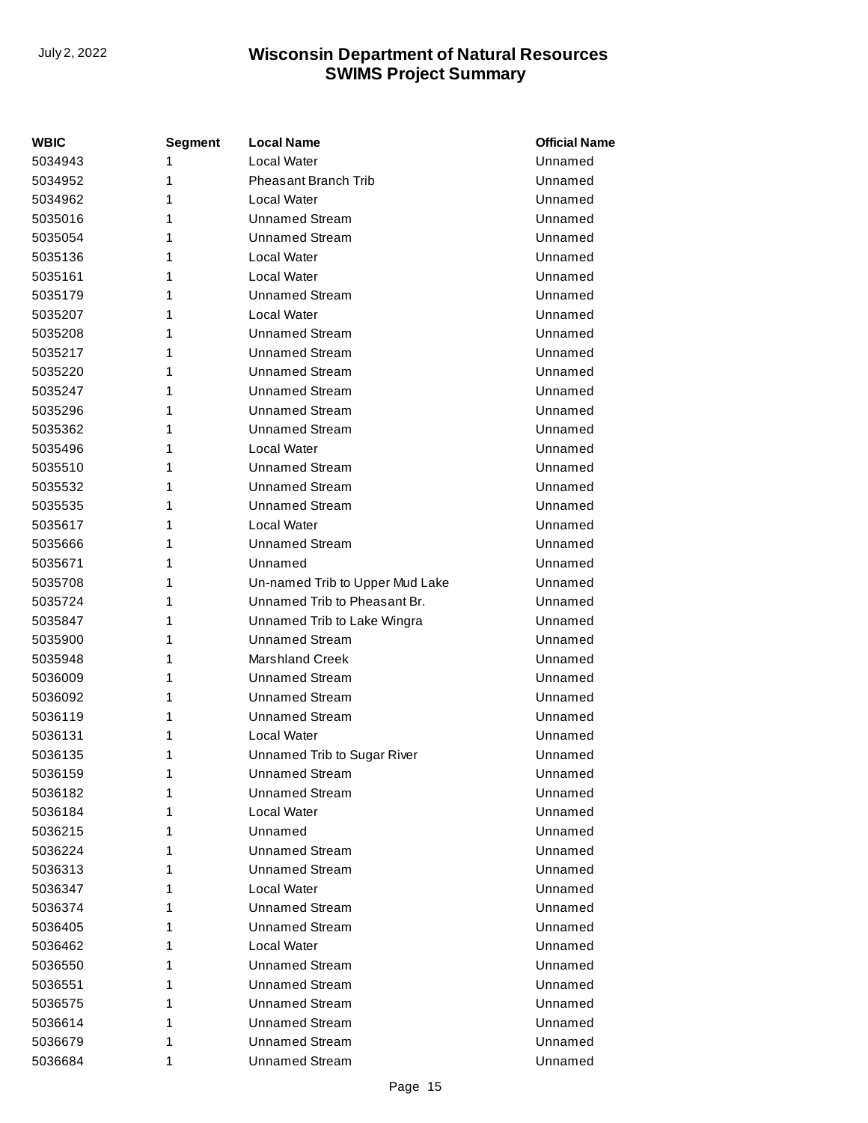| WBIC    | Segment | <b>Local Name</b>               | <b>Official Name</b> |
|---------|---------|---------------------------------|----------------------|
| 5034943 | 1       | Local Water                     | Unnamed              |
| 5034952 | 1       | <b>Pheasant Branch Trib</b>     | Unnamed              |
| 5034962 | 1       | Local Water                     | Unnamed              |
| 5035016 | 1       | <b>Unnamed Stream</b>           | Unnamed              |
| 5035054 | 1       | <b>Unnamed Stream</b>           | Unnamed              |
| 5035136 | 1       | Local Water                     | Unnamed              |
| 5035161 | 1       | Local Water                     | Unnamed              |
| 5035179 | 1       | <b>Unnamed Stream</b>           | Unnamed              |
| 5035207 | 1       | Local Water                     | Unnamed              |
| 5035208 | 1       | <b>Unnamed Stream</b>           | Unnamed              |
| 5035217 | 1       | <b>Unnamed Stream</b>           | Unnamed              |
| 5035220 | 1       | <b>Unnamed Stream</b>           | Unnamed              |
| 5035247 | 1       | <b>Unnamed Stream</b>           | Unnamed              |
| 5035296 | 1       | <b>Unnamed Stream</b>           | Unnamed              |
| 5035362 | 1       | <b>Unnamed Stream</b>           | Unnamed              |
| 5035496 | 1       | Local Water                     | Unnamed              |
| 5035510 | 1       | <b>Unnamed Stream</b>           | Unnamed              |
| 5035532 | 1       | <b>Unnamed Stream</b>           | Unnamed              |
| 5035535 | 1       | <b>Unnamed Stream</b>           | Unnamed              |
| 5035617 | 1       | Local Water                     | Unnamed              |
| 5035666 | 1       | <b>Unnamed Stream</b>           | Unnamed              |
| 5035671 | 1       | Unnamed                         | Unnamed              |
| 5035708 | 1       | Un-named Trib to Upper Mud Lake | Unnamed              |
| 5035724 | 1       | Unnamed Trib to Pheasant Br.    | Unnamed              |
| 5035847 | 1       | Unnamed Trib to Lake Wingra     | Unnamed              |
| 5035900 | 1       | <b>Unnamed Stream</b>           | Unnamed              |
| 5035948 | 1       | <b>Marshland Creek</b>          | Unnamed              |
| 5036009 | 1       | <b>Unnamed Stream</b>           | Unnamed              |
| 5036092 | 1       | <b>Unnamed Stream</b>           | Unnamed              |
| 5036119 | 1       | <b>Unnamed Stream</b>           | Unnamed              |
| 5036131 | 1       | Local Water                     | Unnamed              |
| 5036135 | 1       | Unnamed Trib to Sugar River     | Unnamed              |
| 5036159 | 1       | <b>Unnamed Stream</b>           | Unnamed              |
| 5036182 | 1       | Unnamed Stream                  | Unnamed              |
| 5036184 | 1       | Local Water                     | Unnamed              |
| 5036215 | 1       | Unnamed                         | Unnamed              |
| 5036224 | 1       | Unnamed Stream                  | Unnamed              |
| 5036313 | 1       | <b>Unnamed Stream</b>           | Unnamed              |
| 5036347 | 1       | Local Water                     | Unnamed              |
| 5036374 | 1       | <b>Unnamed Stream</b>           | Unnamed              |
| 5036405 | 1       | <b>Unnamed Stream</b>           | Unnamed              |
| 5036462 | 1       | Local Water                     | Unnamed              |
| 5036550 | 1       | Unnamed Stream                  | Unnamed              |
| 5036551 | 1       | Unnamed Stream                  | Unnamed              |
| 5036575 | 1       | Unnamed Stream                  | Unnamed              |
| 5036614 | 1       | <b>Unnamed Stream</b>           | Unnamed              |
| 5036679 | 1       | <b>Unnamed Stream</b>           | Unnamed              |
| 5036684 | 1       | <b>Unnamed Stream</b>           | Unnamed              |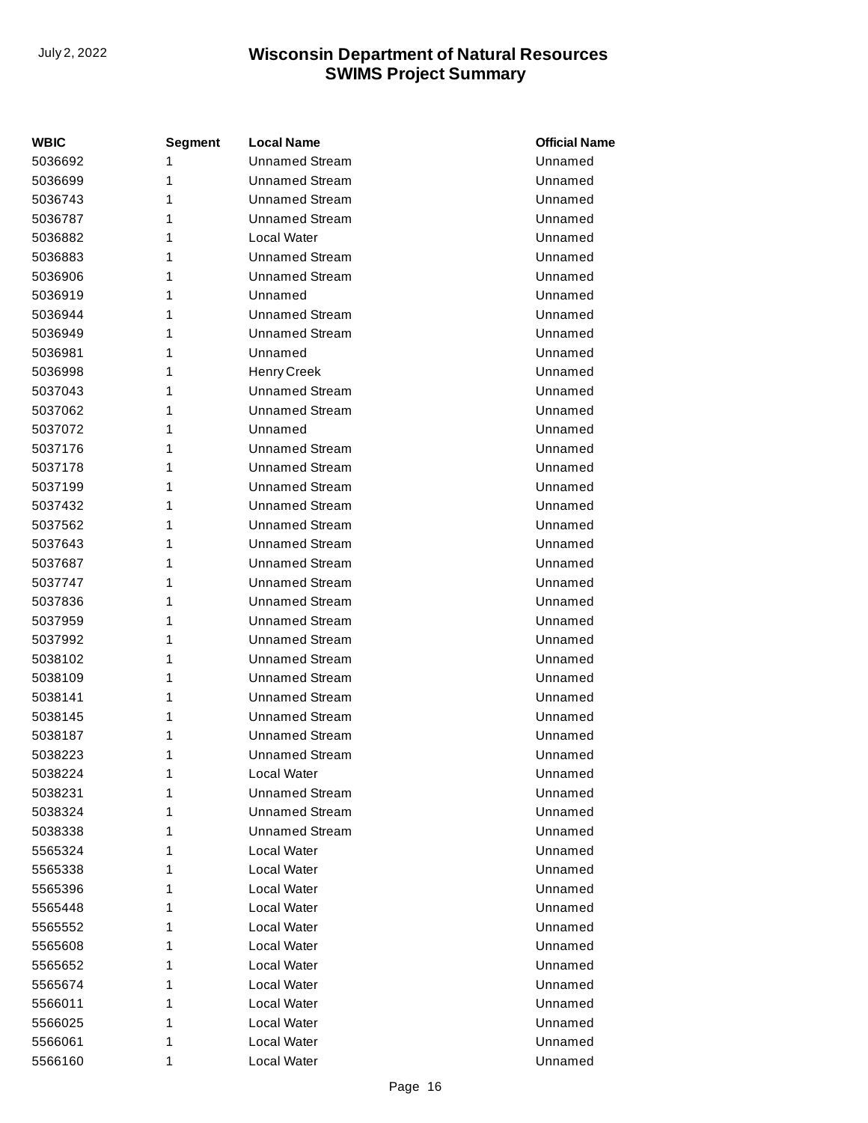| <b>WBIC</b> | Segment | <b>Local Name</b>     | <b>Official Name</b> |
|-------------|---------|-----------------------|----------------------|
| 5036692     | 1       | <b>Unnamed Stream</b> | Unnamed              |
| 5036699     | 1       | <b>Unnamed Stream</b> | Unnamed              |
| 5036743     | 1       | <b>Unnamed Stream</b> | Unnamed              |
| 5036787     | 1       | <b>Unnamed Stream</b> | Unnamed              |
| 5036882     | 1       | Local Water           | Unnamed              |
| 5036883     | 1       | <b>Unnamed Stream</b> | Unnamed              |
| 5036906     | 1       | <b>Unnamed Stream</b> | Unnamed              |
| 5036919     | 1       | Unnamed               | Unnamed              |
| 5036944     | 1       | <b>Unnamed Stream</b> | Unnamed              |
| 5036949     | 1       | <b>Unnamed Stream</b> | Unnamed              |
| 5036981     | 1       | Unnamed               | Unnamed              |
| 5036998     | 1       | Henry Creek           | Unnamed              |
| 5037043     | 1       | <b>Unnamed Stream</b> | Unnamed              |
| 5037062     | 1       | <b>Unnamed Stream</b> | Unnamed              |
| 5037072     | 1       | Unnamed               | Unnamed              |
| 5037176     | 1       | <b>Unnamed Stream</b> | Unnamed              |
| 5037178     | 1       | <b>Unnamed Stream</b> | Unnamed              |
| 5037199     | 1       | <b>Unnamed Stream</b> | Unnamed              |
| 5037432     | 1       | <b>Unnamed Stream</b> | Unnamed              |
| 5037562     | 1       | <b>Unnamed Stream</b> | Unnamed              |
| 5037643     | 1       | <b>Unnamed Stream</b> | Unnamed              |
| 5037687     | 1       | <b>Unnamed Stream</b> | Unnamed              |
| 5037747     | 1       | <b>Unnamed Stream</b> | Unnamed              |
| 5037836     | 1       | <b>Unnamed Stream</b> | Unnamed              |
| 5037959     | 1       | <b>Unnamed Stream</b> | Unnamed              |
| 5037992     | 1       | <b>Unnamed Stream</b> | Unnamed              |
| 5038102     | 1       | <b>Unnamed Stream</b> | Unnamed              |
| 5038109     | 1       | <b>Unnamed Stream</b> | Unnamed              |
| 5038141     | 1       | <b>Unnamed Stream</b> | Unnamed              |
| 5038145     | 1       | <b>Unnamed Stream</b> | Unnamed              |
| 5038187     | 1       | <b>Unnamed Stream</b> | Unnamed              |
| 5038223     | 1       | <b>Unnamed Stream</b> | Unnamed              |
| 5038224     | 1       | Local Water           | Unnamed              |
| 5038231     | 1       | <b>Unnamed Stream</b> | Unnamed              |
| 5038324     | 1       | Unnamed Stream        | Unnamed              |
| 5038338     | 1       | <b>Unnamed Stream</b> | Unnamed              |
| 5565324     | 1       | Local Water           | Unnamed              |
| 5565338     | 1       | Local Water           | Unnamed              |
| 5565396     | 1       | Local Water           | Unnamed              |
| 5565448     | 1       | Local Water           | Unnamed              |
| 5565552     | 1       | Local Water           | Unnamed              |
| 5565608     | 1       | Local Water           | Unnamed              |
| 5565652     | 1       | Local Water           | Unnamed              |
| 5565674     | 1       | Local Water           | Unnamed              |
| 5566011     | 1       | Local Water           | Unnamed              |
| 5566025     | 1       | Local Water           | Unnamed              |
| 5566061     | 1       | Local Water           | Unnamed              |
| 5566160     | 1       | Local Water           | Unnamed              |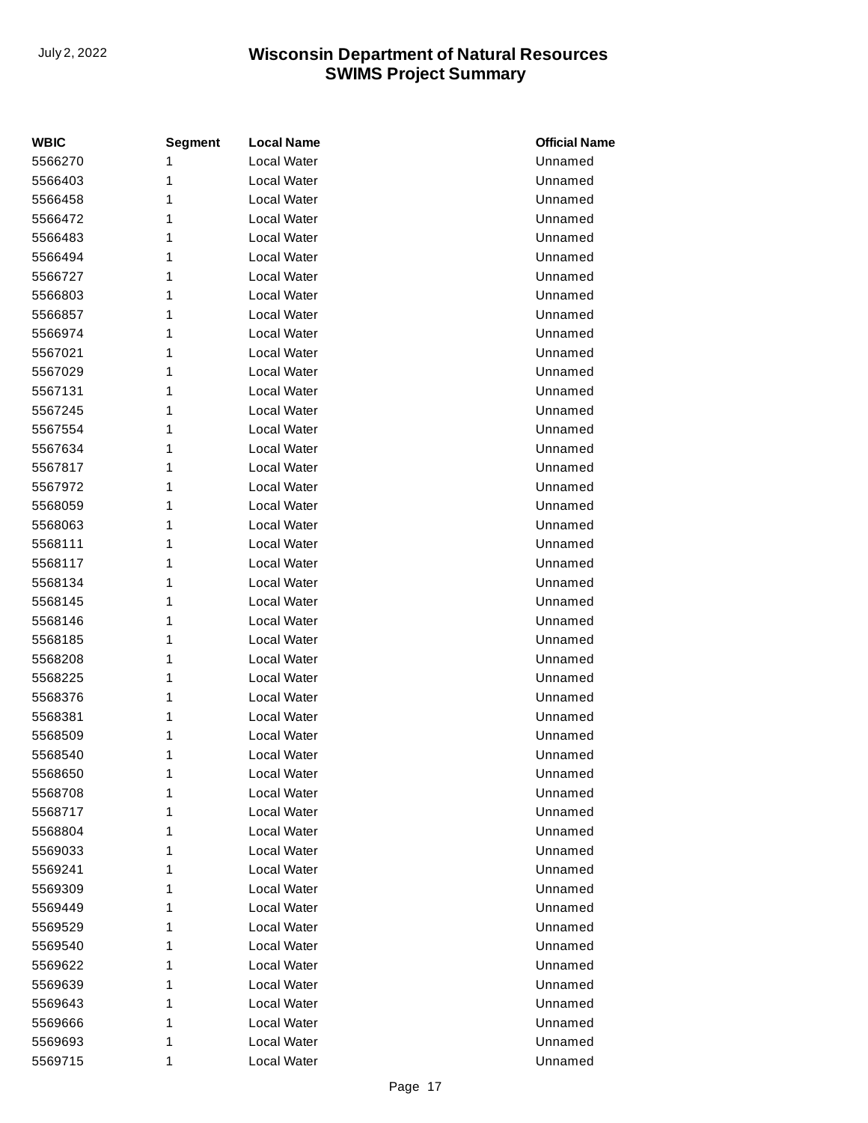| <b>WBIC</b> | <b>Segment</b> | <b>Local Name</b>  | <b>Official Name</b> |
|-------------|----------------|--------------------|----------------------|
| 5566270     | 1              | Local Water        | Unnamed              |
| 5566403     | 1              | Local Water        | Unnamed              |
| 5566458     | 1              | Local Water        | Unnamed              |
| 5566472     | 1              | Local Water        | Unnamed              |
| 5566483     | 1              | Local Water        | Unnamed              |
| 5566494     | 1              | Local Water        | Unnamed              |
| 5566727     | 1              | Local Water        | Unnamed              |
| 5566803     | 1              | Local Water        | Unnamed              |
| 5566857     | 1              | Local Water        | Unnamed              |
| 5566974     | 1              | Local Water        | Unnamed              |
| 5567021     | 1              | Local Water        | Unnamed              |
| 5567029     | 1              | Local Water        | Unnamed              |
| 5567131     | 1              | Local Water        | Unnamed              |
| 5567245     | 1              | Local Water        | Unnamed              |
| 5567554     | 1              | Local Water        | Unnamed              |
| 5567634     | 1              | <b>Local Water</b> | Unnamed              |
| 5567817     | 1              | Local Water        | Unnamed              |
| 5567972     | 1              | Local Water        | Unnamed              |
| 5568059     | 1              | Local Water        | Unnamed              |
| 5568063     | 1              | Local Water        | Unnamed              |
| 5568111     | 1              | Local Water        | Unnamed              |
| 5568117     | 1              | Local Water        | Unnamed              |
| 5568134     | 1              | Local Water        | Unnamed              |
| 5568145     | 1              | <b>Local Water</b> | Unnamed              |
| 5568146     | 1              | Local Water        | Unnamed              |
| 5568185     | 1              | Local Water        | Unnamed              |
| 5568208     | 1              | Local Water        | Unnamed              |
| 5568225     | 1              | Local Water        | Unnamed              |
| 5568376     | 1              | Local Water        | Unnamed              |
| 5568381     | 1              | Local Water        | Unnamed              |
| 5568509     | 1              | Local Water        | Unnamed              |
| 5568540     | 1              | Local Water        | Unnamed              |
| 5568650     | 1              | Local Water        | Unnamed              |
| 5568708     | 1              | Local Water        | Unnamed              |
| 5568717     | 1              | Local Water        | Unnamed              |
| 5568804     | 1              | Local Water        | Unnamed              |
| 5569033     | 1              | Local Water        | Unnamed              |
| 5569241     | 1              | Local Water        | Unnamed              |
| 5569309     | 1              | Local Water        | Unnamed              |
| 5569449     | 1              | Local Water        | Unnamed              |
| 5569529     | 1              | Local Water        | Unnamed              |
| 5569540     | 1              | Local Water        | Unnamed              |
| 5569622     | 1              | Local Water        | Unnamed              |
| 5569639     | 1              | Local Water        | Unnamed              |
| 5569643     | 1              | Local Water        | Unnamed              |
| 5569666     | 1              | Local Water        | Unnamed              |
| 5569693     | 1              | Local Water        | Unnamed              |
| 5569715     | 1              | Local Water        | Unnamed              |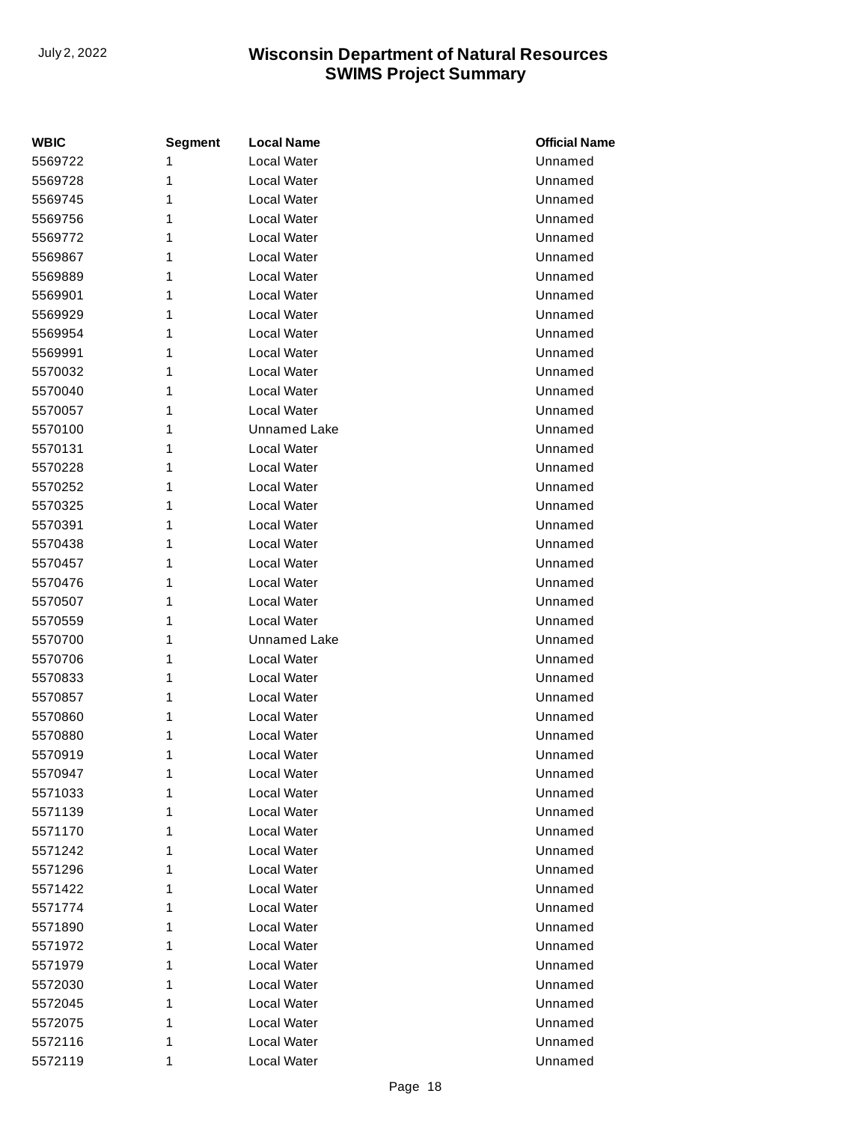| <b>WBIC</b> | <b>Segment</b> | <b>Local Name</b>   | <b>Official Name</b> |
|-------------|----------------|---------------------|----------------------|
| 5569722     | 1              | <b>Local Water</b>  | Unnamed              |
| 5569728     | 1              | Local Water         | Unnamed              |
| 5569745     | 1              | Local Water         | Unnamed              |
| 5569756     | 1              | Local Water         | Unnamed              |
| 5569772     | 1              | Local Water         | Unnamed              |
| 5569867     | 1              | <b>Local Water</b>  | Unnamed              |
| 5569889     | 1              | Local Water         | Unnamed              |
| 5569901     | 1              | Local Water         | Unnamed              |
| 5569929     | 1              | Local Water         | Unnamed              |
| 5569954     | 1              | Local Water         | Unnamed              |
| 5569991     | 1              | Local Water         | Unnamed              |
| 5570032     | 1              | Local Water         | Unnamed              |
| 5570040     | 1              | Local Water         | Unnamed              |
| 5570057     | 1              | Local Water         | Unnamed              |
| 5570100     | 1              | <b>Unnamed Lake</b> | Unnamed              |
| 5570131     | 1              | Local Water         | Unnamed              |
| 5570228     | 1              | Local Water         | Unnamed              |
| 5570252     | 1              | Local Water         | Unnamed              |
| 5570325     | 1              | Local Water         | Unnamed              |
| 5570391     | 1              | Local Water         | Unnamed              |
| 5570438     | 1              | Local Water         | Unnamed              |
| 5570457     | 1              | <b>Local Water</b>  | Unnamed              |
| 5570476     | 1              | Local Water         | Unnamed              |
| 5570507     | 1              | Local Water         | Unnamed              |
| 5570559     | 1              | Local Water         | Unnamed              |
| 5570700     | 1              | Unnamed Lake        | Unnamed              |
| 5570706     | 1              | Local Water         | Unnamed              |
| 5570833     | 1              | Local Water         | Unnamed              |
| 5570857     | 1              | Local Water         | Unnamed              |
| 5570860     | 1              | <b>Local Water</b>  | Unnamed              |
| 5570880     | 1              | Local Water         | Unnamed              |
| 5570919     | 1              | Local Water         | Unnamed              |
| 5570947     | 1              | Local Water         | Unnamed              |
| 5571033     | 1              | Local Water         | Unnamed              |
| 5571139     | 1              | Local Water         | Unnamed              |
| 5571170     | 1              | Local Water         | Unnamed              |
| 5571242     | 1              | Local Water         | Unnamed              |
| 5571296     | 1              | Local Water         | Unnamed              |
| 5571422     | 1              | Local Water         | Unnamed              |
| 5571774     | 1              | Local Water         | Unnamed              |
| 5571890     | 1              | Local Water         | Unnamed              |
| 5571972     | 1              | Local Water         | Unnamed              |
| 5571979     | 1              | Local Water         | Unnamed              |
| 5572030     | 1              | Local Water         | Unnamed              |
| 5572045     | 1              | Local Water         | Unnamed              |
| 5572075     | 1              | Local Water         | Unnamed              |
| 5572116     | 1              | Local Water         | Unnamed              |
| 5572119     | 1              | Local Water         | Unnamed              |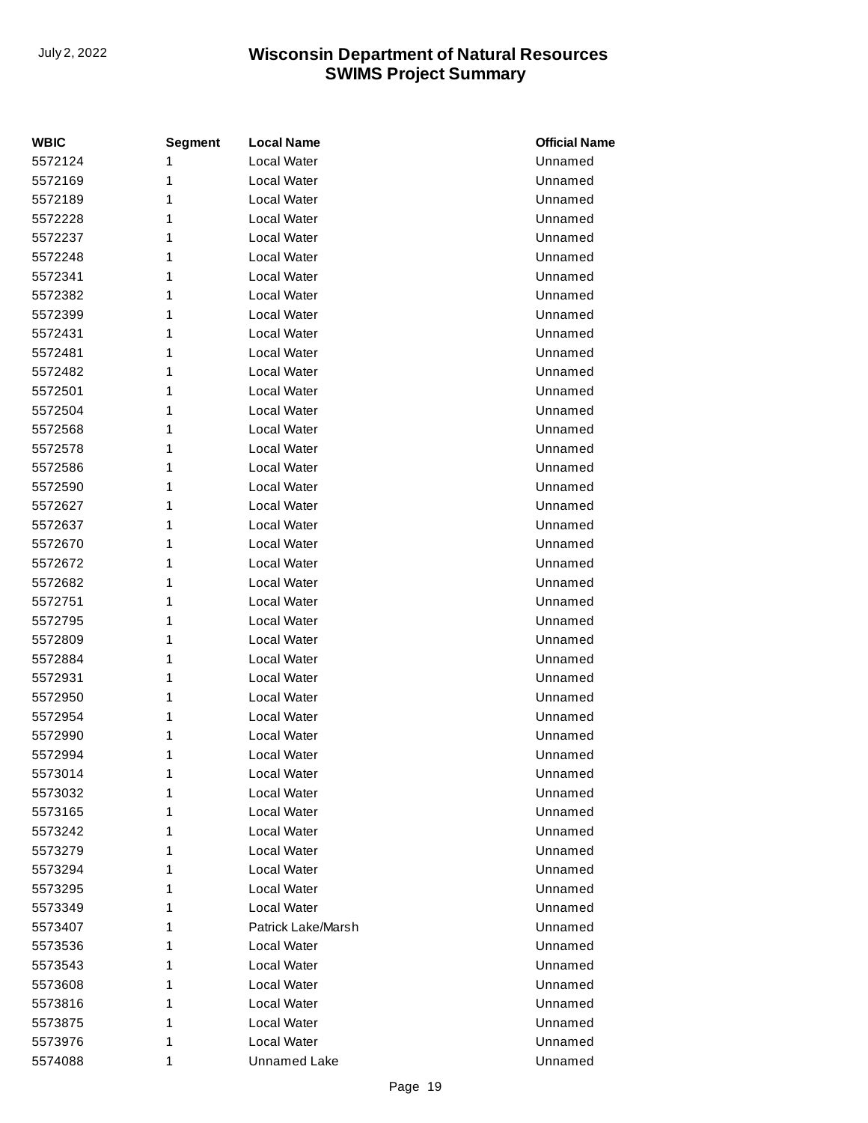| <b>WBIC</b> | <b>Segment</b> | <b>Local Name</b>   | <b>Official Name</b> |
|-------------|----------------|---------------------|----------------------|
| 5572124     | 1              | Local Water         | Unnamed              |
| 5572169     | 1              | Local Water         | Unnamed              |
| 5572189     | 1              | Local Water         | Unnamed              |
| 5572228     | 1              | Local Water         | Unnamed              |
| 5572237     | 1              | Local Water         | Unnamed              |
| 5572248     | 1              | Local Water         | Unnamed              |
| 5572341     | 1              | Local Water         | Unnamed              |
| 5572382     | 1              | Local Water         | Unnamed              |
| 5572399     | 1              | Local Water         | Unnamed              |
| 5572431     | 1              | Local Water         | Unnamed              |
| 5572481     | 1              | Local Water         | Unnamed              |
| 5572482     | 1              | Local Water         | Unnamed              |
| 5572501     | 1              | Local Water         | Unnamed              |
| 5572504     | 1              | Local Water         | Unnamed              |
| 5572568     | 1              | Local Water         | Unnamed              |
| 5572578     | 1              | Local Water         | Unnamed              |
| 5572586     | 1              | Local Water         | Unnamed              |
| 5572590     | 1              | Local Water         | Unnamed              |
| 5572627     | 1              | Local Water         | Unnamed              |
| 5572637     | 1              | Local Water         | Unnamed              |
| 5572670     | 1              | Local Water         | Unnamed              |
| 5572672     | 1              | Local Water         | Unnamed              |
| 5572682     | 1              | Local Water         | Unnamed              |
| 5572751     | 1              | Local Water         | Unnamed              |
| 5572795     | 1              | Local Water         | Unnamed              |
| 5572809     | 1              | Local Water         | Unnamed              |
| 5572884     | 1              | Local Water         | Unnamed              |
| 5572931     | 1              | Local Water         | Unnamed              |
| 5572950     | 1              | Local Water         | Unnamed              |
| 5572954     | 1              | Local Water         | Unnamed              |
| 5572990     | 1              | Local Water         | Unnamed              |
| 5572994     | 1              | Local Water         | Unnamed              |
| 5573014     | 1              | Local Water         | Unnamed              |
| 5573032     | 1              | Local Water         | Unnamed              |
| 5573165     | 1              | Local Water         | Unnamed              |
| 5573242     | 1              | Local Water         | Unnamed              |
| 5573279     | 1              | Local Water         | Unnamed              |
| 5573294     | 1              | Local Water         | Unnamed              |
| 5573295     | 1              | Local Water         | Unnamed              |
| 5573349     | 1              | Local Water         | Unnamed              |
| 5573407     | 1              | Patrick Lake/Marsh  | Unnamed              |
| 5573536     | 1              | Local Water         | Unnamed              |
| 5573543     | 1              | Local Water         | Unnamed              |
| 5573608     | 1              | Local Water         | Unnamed              |
| 5573816     | 1              | Local Water         | Unnamed              |
| 5573875     | 1              | Local Water         | Unnamed              |
| 5573976     | 1              | Local Water         | Unnamed              |
| 5574088     | 1              | <b>Unnamed Lake</b> | Unnamed              |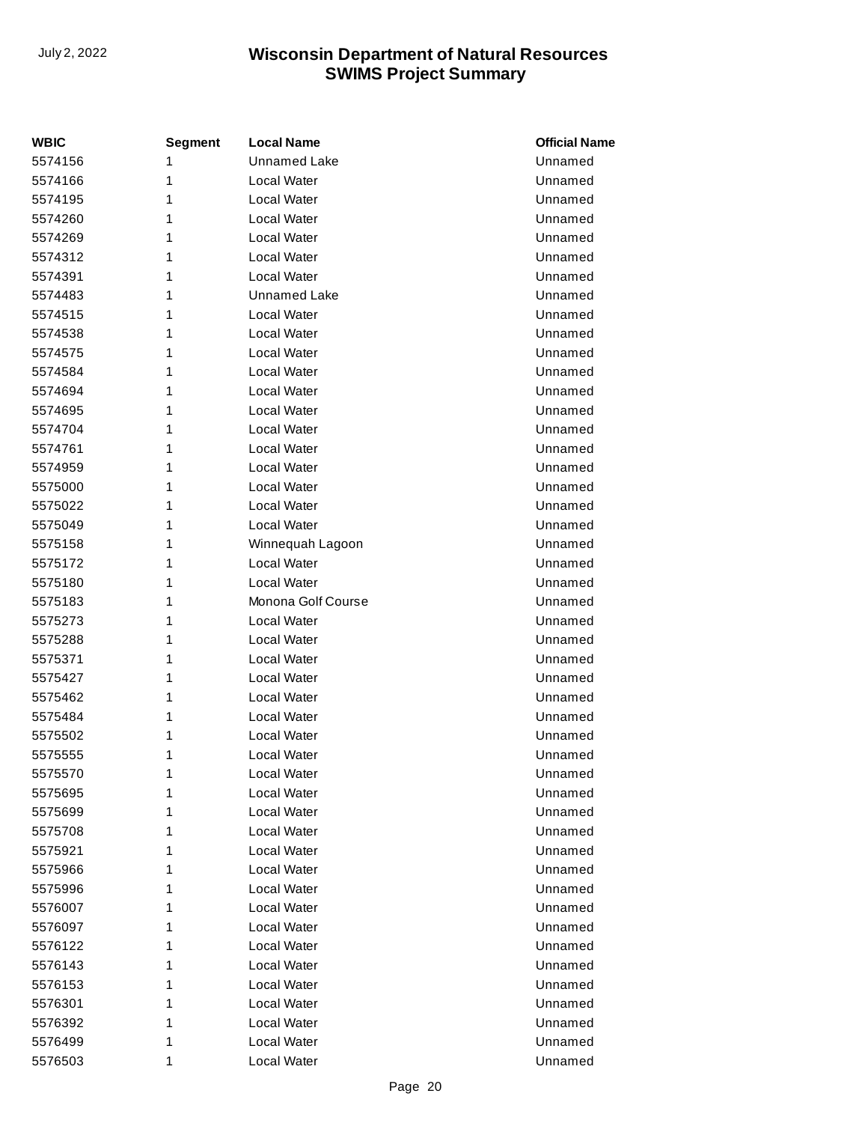| WBIC    | Segment | <b>Local Name</b>   | <b>Official Name</b> |
|---------|---------|---------------------|----------------------|
| 5574156 | 1       | <b>Unnamed Lake</b> | Unnamed              |
| 5574166 | 1       | Local Water         | Unnamed              |
| 5574195 | 1       | Local Water         | Unnamed              |
| 5574260 | 1       | Local Water         | Unnamed              |
| 5574269 | 1       | Local Water         | Unnamed              |
| 5574312 | 1       | Local Water         | Unnamed              |
| 5574391 | 1       | Local Water         | Unnamed              |
| 5574483 | 1       | <b>Unnamed Lake</b> | Unnamed              |
| 5574515 | 1       | Local Water         | Unnamed              |
| 5574538 | 1       | Local Water         | Unnamed              |
| 5574575 | 1       | Local Water         | Unnamed              |
| 5574584 | 1       | Local Water         | Unnamed              |
| 5574694 | 1       | Local Water         | Unnamed              |
| 5574695 | 1       | Local Water         | Unnamed              |
| 5574704 | 1       | Local Water         | Unnamed              |
| 5574761 | 1       | Local Water         | Unnamed              |
| 5574959 | 1       | Local Water         | Unnamed              |
| 5575000 | 1       | Local Water         | Unnamed              |
| 5575022 | 1       | Local Water         | Unnamed              |
| 5575049 | 1       | Local Water         | Unnamed              |
| 5575158 | 1       | Winnequah Lagoon    | Unnamed              |
| 5575172 | 1       | Local Water         | Unnamed              |
| 5575180 | 1       | Local Water         | Unnamed              |
| 5575183 | 1       | Monona Golf Course  | Unnamed              |
| 5575273 | 1       | Local Water         | Unnamed              |
| 5575288 | 1       | Local Water         | Unnamed              |
| 5575371 | 1       | Local Water         | Unnamed              |
| 5575427 | 1       | Local Water         | Unnamed              |
| 5575462 | 1       | Local Water         | Unnamed              |
| 5575484 | 1       | Local Water         | Unnamed              |
| 5575502 | 1       | Local Water         | Unnamed              |
| 5575555 | 1       | Local Water         | Unnamed              |
| 5575570 | 1       | Local Water         | Unnamed              |
| 5575695 | 1       | Local Water         | Unnamed              |
| 5575699 | 1       | Local Water         | Unnamed              |
| 5575708 | 1       | Local Water         | Unnamed              |
| 5575921 | 1       | Local Water         | Unnamed              |
| 5575966 | 1       | Local Water         | Unnamed              |
| 5575996 | 1       | Local Water         | Unnamed              |
| 5576007 | 1       | Local Water         | Unnamed              |
| 5576097 | 1       | Local Water         | Unnamed              |
| 5576122 | 1       | Local Water         | Unnamed              |
| 5576143 | 1       | Local Water         | Unnamed              |
| 5576153 | 1       | Local Water         | Unnamed              |
| 5576301 | 1       | Local Water         | Unnamed              |
| 5576392 | 1       | Local Water         | Unnamed              |
| 5576499 | 1       | Local Water         | Unnamed              |
| 5576503 | 1       | Local Water         | Unnamed              |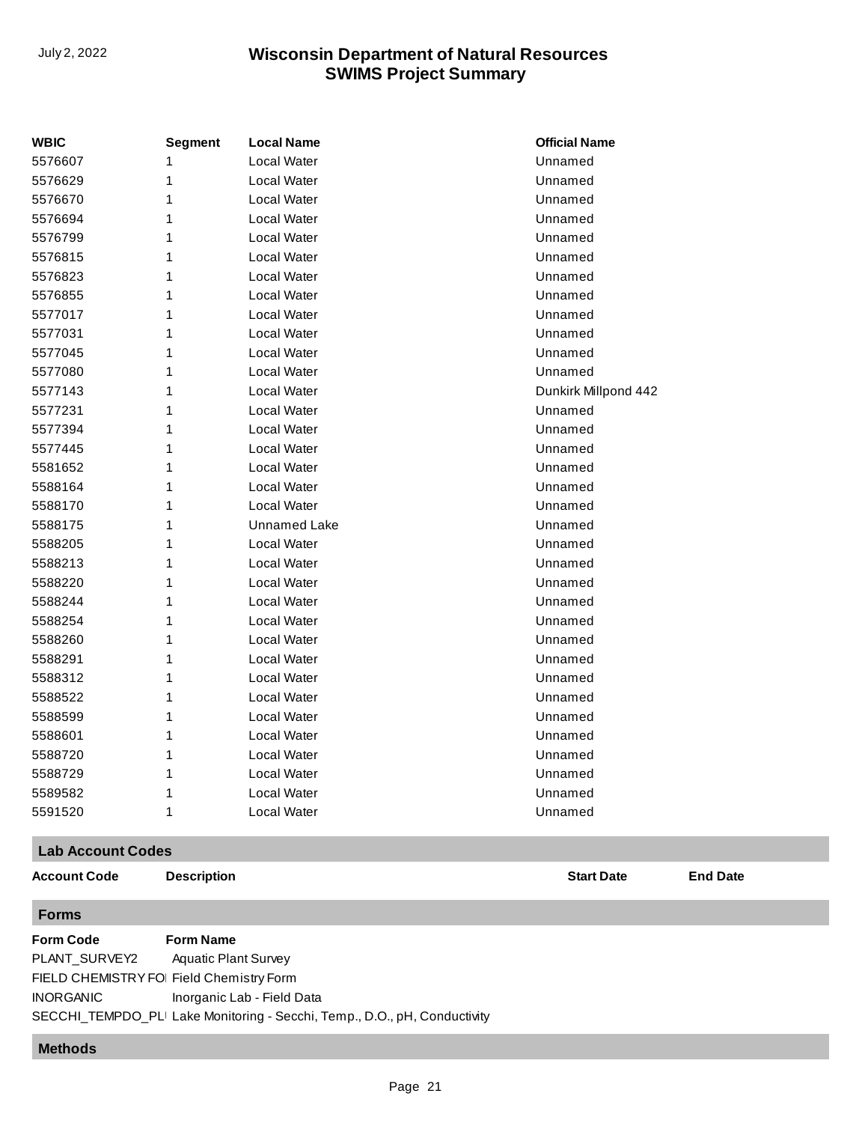| <b>WBIC</b> | <b>Segment</b> | <b>Local Name</b>   | <b>Official Name</b> |
|-------------|----------------|---------------------|----------------------|
| 5576607     | 1              | Local Water         | Unnamed              |
| 5576629     | 1              | Local Water         | Unnamed              |
| 5576670     | 1              | Local Water         | Unnamed              |
| 5576694     | 1              | Local Water         | Unnamed              |
| 5576799     | 1              | Local Water         | Unnamed              |
| 5576815     | 1              | Local Water         | Unnamed              |
| 5576823     | 1              | Local Water         | Unnamed              |
| 5576855     | 1              | Local Water         | Unnamed              |
| 5577017     | 1              | Local Water         | Unnamed              |
| 5577031     | 1              | Local Water         | Unnamed              |
| 5577045     | 1              | Local Water         | Unnamed              |
| 5577080     | 1              | Local Water         | Unnamed              |
| 5577143     | 1              | Local Water         | Dunkirk Millpond 442 |
| 5577231     | 1              | Local Water         | Unnamed              |
| 5577394     | 1              | Local Water         | Unnamed              |
| 5577445     | 1              | Local Water         | Unnamed              |
| 5581652     | 1              | Local Water         | Unnamed              |
| 5588164     | 1              | Local Water         | Unnamed              |
| 5588170     | 1              | Local Water         | Unnamed              |
| 5588175     | 1              | <b>Unnamed Lake</b> | Unnamed              |
| 5588205     | 1              | Local Water         | Unnamed              |
| 5588213     | 1              | Local Water         | Unnamed              |
| 5588220     | 1              | Local Water         | Unnamed              |
| 5588244     | 1              | Local Water         | Unnamed              |
| 5588254     | 1              | Local Water         | Unnamed              |
| 5588260     | 1              | Local Water         | Unnamed              |
| 5588291     | 1              | Local Water         | Unnamed              |
| 5588312     | 1              | Local Water         | Unnamed              |
| 5588522     | 1              | Local Water         | Unnamed              |
| 5588599     | 1              | Local Water         | Unnamed              |
| 5588601     | 1              | Local Water         | Unnamed              |
| 5588720     | 1              | Local Water         | Unnamed              |
| 5588729     | 1              | Local Water         | Unnamed              |
| 5589582     | 1              | Local Water         | Unnamed              |
| 5591520     | 1              | Local Water         | Unnamed              |

#### **Lab Account Codes**

**Account Code Description Start Date End Date**

**Forms**

**Form Code Form Name** PLANT\_SURVEY2 FIELD CHEMISTRY FOI Field Chemistry Form INORGANIC SECCHI\_TEMPDO\_PLI Lake Monitoring - Secchi, Temp., D.O., pH, Conductivity Aquatic Plant Survey Inorganic Lab - Field Data

#### **Methods**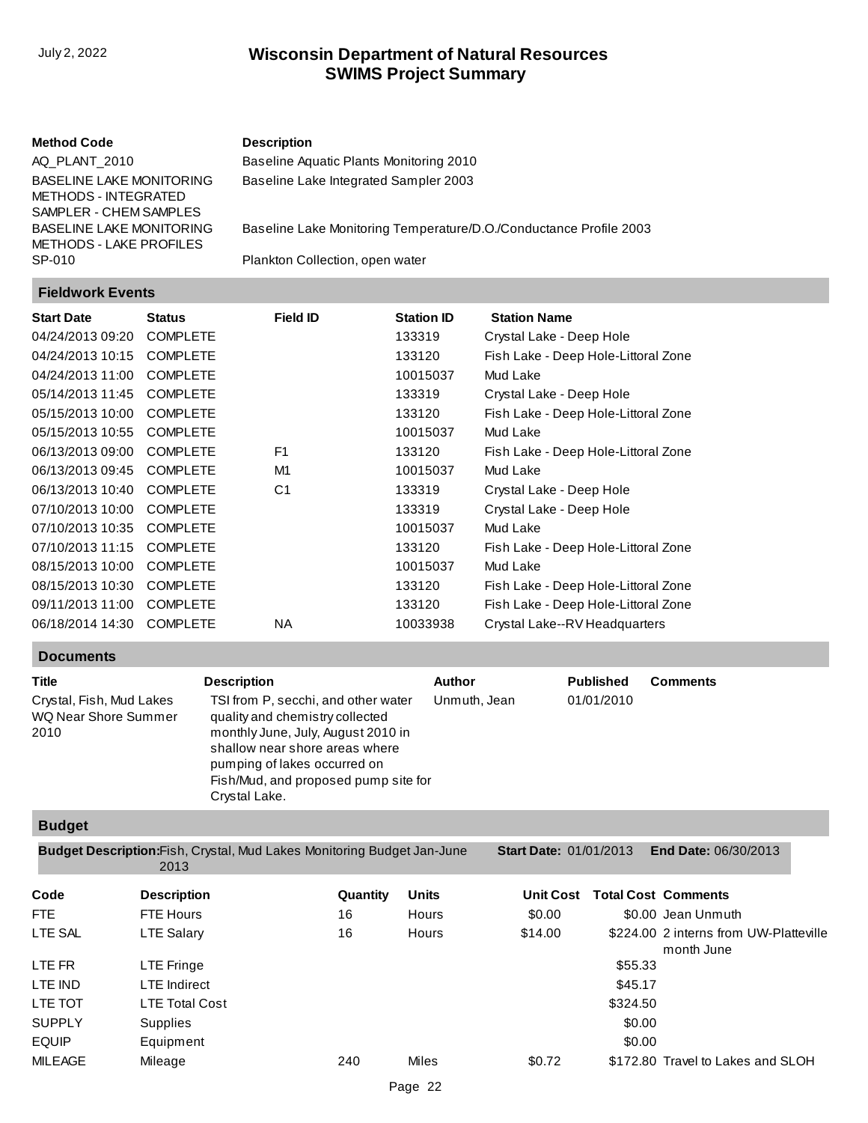#### **Method Code Description**

[Baseline Aquatic Plants Monitoring 2010](http://prodoasint.dnr.wi.gov/swims/viewMethod.do?key=AQ_PLANT_2010) [Baseline Lake Integrated Sampler 2003](http://prodoasint.dnr.wi.gov/swims/viewMethod.do?key=BASELINE LAKE MONITORING METHODS - INTEGRATED SAMPLER - CHEM SAMPLES)

AQ\_PLANT\_2010 BASELINE LAKE MONITORING METHODS - INTEGRATED SAMPLER - CHEM SAMPLES BASELINE LAKE MONITORING METHODS - LAKE PROFILES SP-010

[Baseline Lake Monitoring Temperature/D.O./Conductance Profile 2003](http://prodoasint.dnr.wi.gov/swims/viewMethod.do?key=BASELINE LAKE MONITORING METHODS - LAKE PROFILES)

[Plankton Collection, open water](http://prodoasint.dnr.wi.gov/swims/viewMethod.do?key=SP-010)

#### **Fieldwork Events**

| <b>Start Date</b> | <b>Status</b>   | <b>Field ID</b> | <b>Station ID</b> | <b>Station Name</b>                 |
|-------------------|-----------------|-----------------|-------------------|-------------------------------------|
| 04/24/2013 09:20  | <b>COMPLETE</b> |                 | 133319            | Crystal Lake - Deep Hole            |
| 04/24/2013 10:15  | <b>COMPLETE</b> |                 | 133120            | Fish Lake - Deep Hole-Littoral Zone |
| 04/24/2013 11:00  | <b>COMPLETE</b> |                 | 10015037          | Mud Lake                            |
| 05/14/2013 11:45  | <b>COMPLETE</b> |                 | 133319            | Crystal Lake - Deep Hole            |
| 05/15/2013 10:00  | <b>COMPLETE</b> |                 | 133120            | Fish Lake - Deep Hole-Littoral Zone |
| 05/15/2013 10:55  | <b>COMPLETE</b> |                 | 10015037          | Mud Lake                            |
| 06/13/2013 09:00  | <b>COMPLETE</b> | F <sub>1</sub>  | 133120            | Fish Lake - Deep Hole-Littoral Zone |
| 06/13/2013 09:45  | <b>COMPLETE</b> | M <sub>1</sub>  | 10015037          | Mud Lake                            |
| 06/13/2013 10:40  | <b>COMPLETE</b> | C <sub>1</sub>  | 133319            | Crystal Lake - Deep Hole            |
| 07/10/2013 10:00  | <b>COMPLETE</b> |                 | 133319            | Crystal Lake - Deep Hole            |
| 07/10/2013 10:35  | <b>COMPLETE</b> |                 | 10015037          | Mud Lake                            |
| 07/10/2013 11:15  | <b>COMPLETE</b> |                 | 133120            | Fish Lake - Deep Hole-Littoral Zone |
| 08/15/2013 10:00  | <b>COMPLETE</b> |                 | 10015037          | Mud Lake                            |
| 08/15/2013 10:30  | <b>COMPLETE</b> |                 | 133120            | Fish Lake - Deep Hole-Littoral Zone |
| 09/11/2013 11:00  | <b>COMPLETE</b> |                 | 133120            | Fish Lake - Deep Hole-Littoral Zone |
| 06/18/2014 14:30  | <b>COMPLETE</b> | NA              | 10033938          | Crystal Lake--RV Headquarters       |

#### **Documents**

| <b>Title</b>                                             | <b>Description</b>                                                                                                                                                                                                                      | Author       | <b>Published</b> | <b>Comments</b> |
|----------------------------------------------------------|-----------------------------------------------------------------------------------------------------------------------------------------------------------------------------------------------------------------------------------------|--------------|------------------|-----------------|
| Crystal, Fish, Mud Lakes<br>WQ Near Shore Summer<br>2010 | TSI from P, secchi, and other water<br>quality and chemistry collected<br>monthly June, July, August 2010 in<br>shallow near shore areas where<br>pumping of lakes occurred on<br>Fish/Mud, and proposed pump site for<br>Crystal Lake. | Unmuth, Jean | 01/01/2010       |                 |

#### **Budget**

**Code Description Quantity Units Unit Cost Total Cost Comments Budget Description: Fish, Crystal, Mud Lakes Monitoring Budget Jan-June** 2013 **Start Date:** 01/01/2013 **End Date:** 06/30/2013

| ----           | ---------             | - - - - - - - - - | -            |         |          |                                                      |
|----------------|-----------------------|-------------------|--------------|---------|----------|------------------------------------------------------|
| FTE.           | FTE Hours             | 16                | Hours        | \$0.00  |          | \$0.00 Jean Unmuth                                   |
| LTE SAL        | <b>LTE Salary</b>     | 16                | Hours        | \$14.00 |          | \$224.00 2 interns from UW-Platteville<br>month June |
| LTE FR         | LTE Fringe            |                   |              |         | \$55.33  |                                                      |
| LTE IND        | <b>LTE</b> Indirect   |                   |              |         | \$45.17  |                                                      |
| <b>LTE TOT</b> | <b>LTE Total Cost</b> |                   |              |         | \$324.50 |                                                      |
| <b>SUPPLY</b>  | <b>Supplies</b>       |                   |              |         | \$0.00   |                                                      |
| <b>EQUIP</b>   | Equipment             |                   |              |         | \$0.00   |                                                      |
| <b>MILEAGE</b> | Mileage               | 240               | <b>Miles</b> | \$0.72  |          | \$172.80 Travel to Lakes and SLOH                    |
|                |                       |                   |              |         |          |                                                      |